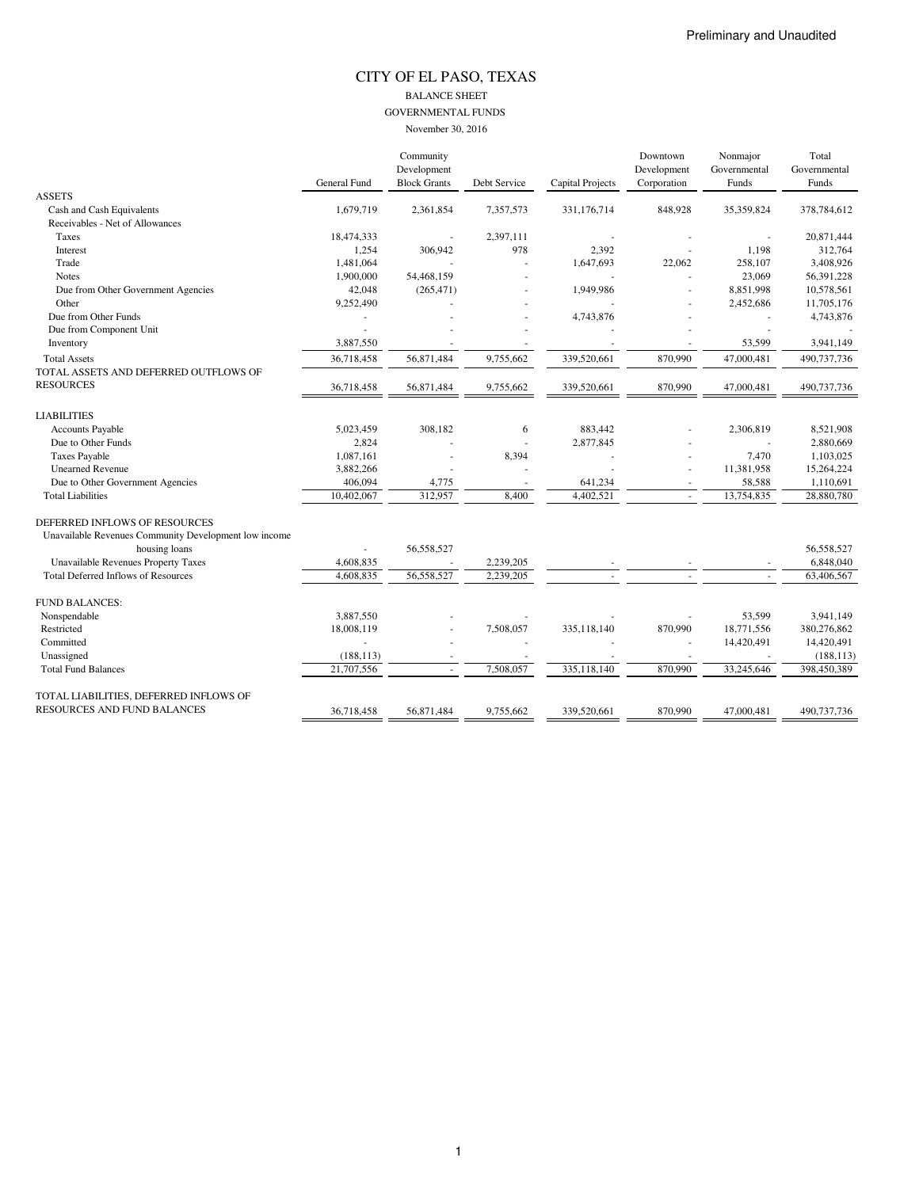### CITY OF EL PASO, TEXAS BALANCE SHEET GOVERNMENTAL FUNDS November 30, 2016

|                                                              |                    | Community<br>Development |              |                         | Downtown<br>Development | Nonmajor<br>Governmental | Total<br>Governmental |
|--------------------------------------------------------------|--------------------|--------------------------|--------------|-------------------------|-------------------------|--------------------------|-----------------------|
|                                                              | General Fund       | <b>Block Grants</b>      | Debt Service | <b>Capital Projects</b> | Corporation             | Funds                    | Funds                 |
| <b>ASSETS</b>                                                |                    |                          |              |                         |                         |                          |                       |
| Cash and Cash Equivalents<br>Receivables - Net of Allowances | 1,679,719          | 2,361,854                | 7,357,573    | 331,176,714             | 848,928                 | 35,359,824               | 378,784,612           |
|                                                              |                    |                          |              |                         |                         |                          | 20,871,444            |
| Taxes                                                        | 18,474,333         |                          | 2,397,111    |                         |                         |                          |                       |
| Interest<br>Trade                                            | 1,254<br>1,481,064 | 306,942                  | 978          | 2,392                   |                         | 1,198<br>258,107         | 312,764<br>3,408,926  |
|                                                              |                    |                          |              | 1,647,693               | 22,062                  |                          |                       |
| <b>Notes</b>                                                 | 1,900,000          | 54,468,159               |              |                         |                         | 23,069                   | 56,391,228            |
| Due from Other Government Agencies                           | 42,048             | (265, 471)               |              | 1,949,986               |                         | 8,851,998                | 10,578,561            |
| Other                                                        | 9,252,490          |                          |              |                         |                         | 2,452,686                | 11,705,176            |
| Due from Other Funds                                         |                    |                          |              | 4,743,876               |                         |                          | 4,743,876             |
| Due from Component Unit                                      |                    |                          |              |                         |                         |                          |                       |
| Inventory                                                    | 3,887,550          |                          |              |                         |                         | 53,599                   | 3,941,149             |
| <b>Total Assets</b>                                          | 36,718,458         | 56,871,484               | 9,755,662    | 339,520,661             | 870,990                 | 47,000,481               | 490,737,736           |
| TOTAL ASSETS AND DEFERRED OUTFLOWS OF                        |                    |                          |              |                         |                         |                          |                       |
| <b>RESOURCES</b>                                             | 36,718,458         | 56,871,484               | 9,755,662    | 339,520,661             | 870,990                 | 47,000,481               | 490,737,736           |
| <b>LIABILITIES</b>                                           |                    |                          |              |                         |                         |                          |                       |
| Accounts Payable                                             | 5,023,459          | 308,182                  | 6            | 883,442                 |                         | 2,306,819                | 8,521,908             |
| Due to Other Funds                                           | 2,824              |                          |              | 2,877,845               |                         |                          | 2,880,669             |
| <b>Taxes Payable</b>                                         | 1,087,161          |                          | 8,394        |                         |                         | 7,470                    | 1,103,025             |
| <b>Unearned Revenue</b>                                      | 3,882,266          |                          |              |                         |                         | 11,381,958               | 15,264,224            |
| Due to Other Government Agencies                             | 406,094            | 4,775                    |              | 641,234                 |                         | 58,588                   | 1,110,691             |
| <b>Total Liabilities</b>                                     | 10,402,067         | 312,957                  | 8,400        | 4,402,521               |                         | 13,754,835               | 28,880,780            |
| DEFERRED INFLOWS OF RESOURCES                                |                    |                          |              |                         |                         |                          |                       |
| Unavailable Revenues Community Development low income        |                    |                          |              |                         |                         |                          |                       |
| housing loans                                                |                    | 56,558,527               |              |                         |                         |                          | 56,558,527            |
| Unavailable Revenues Property Taxes                          | 4,608,835          |                          | 2,239,205    |                         |                         |                          | 6,848,040             |
| <b>Total Deferred Inflows of Resources</b>                   | 4,608,835          | 56,558,527               | 2,239,205    |                         |                         |                          | 63,406,567            |
| <b>FUND BALANCES:</b>                                        |                    |                          |              |                         |                         |                          |                       |
| Nonspendable                                                 | 3,887,550          |                          |              |                         |                         | 53,599                   | 3,941,149             |
| Restricted                                                   | 18,008,119         |                          | 7,508,057    | 335,118,140             | 870,990                 | 18,771,556               | 380,276,862           |
| Committed                                                    |                    |                          |              |                         |                         | 14,420,491               | 14,420,491            |
| Unassigned                                                   | (188, 113)         |                          |              |                         |                         |                          | (188, 113)            |
| <b>Total Fund Balances</b>                                   | 21,707,556         | ×.                       | 7,508,057    | 335,118,140             | 870,990                 | 33,245,646               | 398,450,389           |
| TOTAL LIABILITIES, DEFERRED INFLOWS OF                       |                    |                          |              |                         |                         |                          |                       |
| RESOURCES AND FUND BALANCES                                  | 36,718,458         | 56.871.484               | 9.755.662    | 339,520,661             | 870,990                 | 47,000,481               | 490,737,736           |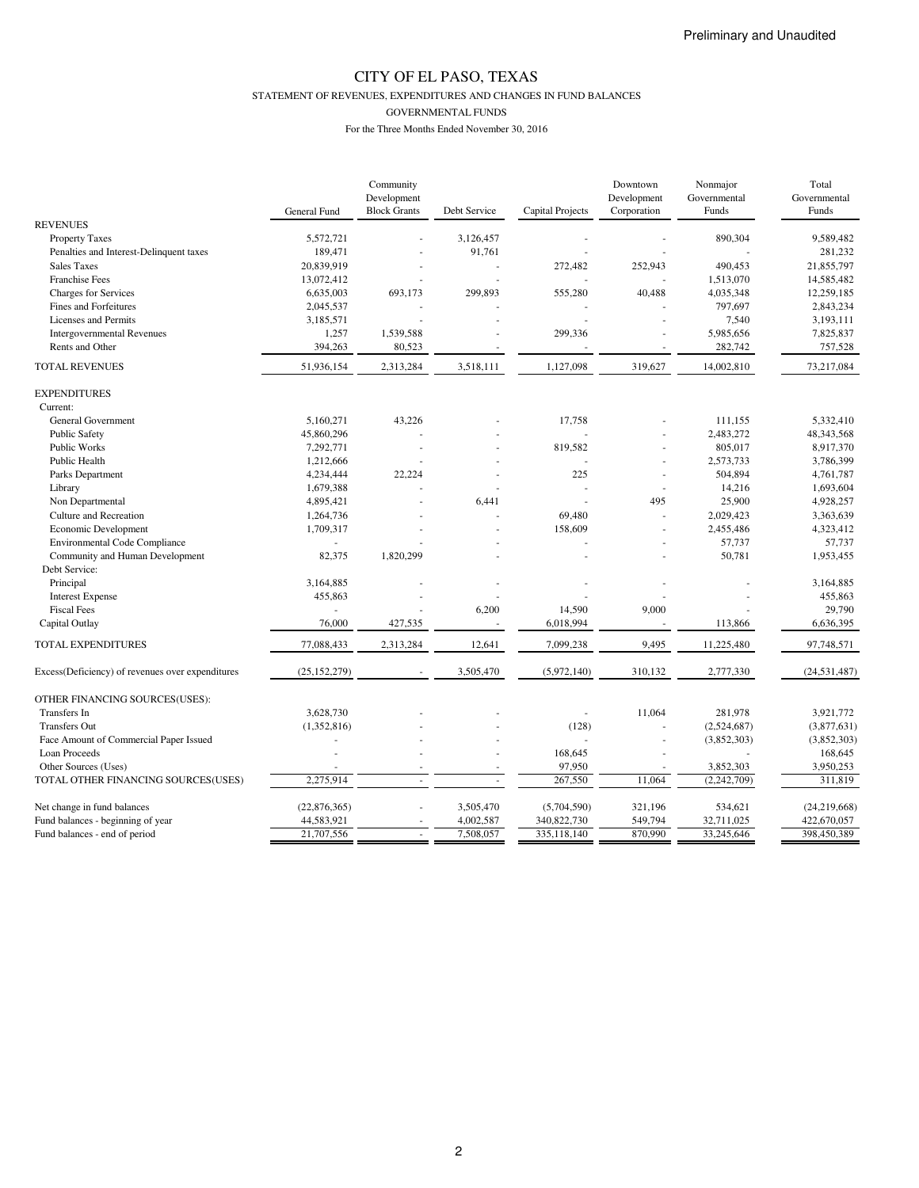STATEMENT OF REVENUES, EXPENDITURES AND CHANGES IN FUND BALANCES

GOVERNMENTAL FUNDS

|                                                  |                | Community           |                |                  | Downtown    | Nonmajor     | Total          |
|--------------------------------------------------|----------------|---------------------|----------------|------------------|-------------|--------------|----------------|
|                                                  |                | Development         |                |                  | Development | Governmental | Governmental   |
|                                                  | General Fund   | <b>Block Grants</b> | Debt Service   | Capital Projects | Corporation | Funds        | Funds          |
| <b>REVENUES</b>                                  |                |                     |                |                  |             |              |                |
| <b>Property Taxes</b>                            | 5,572,721      |                     | 3,126,457      |                  |             | 890,304      | 9,589,482      |
| Penalties and Interest-Delinquent taxes          | 189,471        |                     | 91,761         |                  |             |              | 281,232        |
| <b>Sales Taxes</b>                               | 20,839,919     |                     |                | 272,482          | 252,943     | 490,453      | 21,855,797     |
| <b>Franchise Fees</b>                            | 13,072,412     |                     |                |                  |             | 1,513,070    | 14,585,482     |
| <b>Charges for Services</b>                      | 6,635,003      | 693,173             | 299,893        | 555,280          | 40,488      | 4,035,348    | 12,259,185     |
| Fines and Forfeitures                            | 2,045,537      |                     |                |                  |             | 797,697      | 2,843,234      |
| Licenses and Permits                             | 3,185,571      |                     |                |                  |             | 7,540        | 3,193,111      |
| <b>Intergovernmental Revenues</b>                | 1,257          | 1,539,588           |                | 299,336          | ÷,          | 5,985,656    | 7,825,837      |
| Rents and Other                                  | 394,263        | 80,523              |                |                  |             | 282,742      | 757,528        |
| <b>TOTAL REVENUES</b>                            | 51,936,154     | 2,313,284           | 3,518,111      | 1,127,098        | 319,627     | 14,002,810   | 73,217,084     |
| <b>EXPENDITURES</b>                              |                |                     |                |                  |             |              |                |
| Current:                                         |                |                     |                |                  |             |              |                |
| General Government                               | 5,160,271      | 43,226              |                | 17,758           |             | 111,155      | 5,332,410      |
| <b>Public Safety</b>                             | 45,860,296     |                     |                |                  |             | 2,483,272    | 48,343,568     |
| Public Works                                     | 7,292,771      | ä,                  |                | 819,582          | ÷,          | 805,017      | 8,917,370      |
| <b>Public Health</b>                             | 1,212,666      |                     |                |                  | ÷,          | 2,573,733    | 3,786,399      |
|                                                  | 4,234,444      | 22,224              |                | 225              |             | 504,894      | 4,761,787      |
| Parks Department                                 |                |                     |                |                  | $\sim$      |              |                |
| Library                                          | 1,679,388      |                     |                |                  | ÷,          | 14,216       | 1,693,604      |
| Non Departmental                                 | 4,895,421      |                     | 6,441          |                  | 495         | 25,900       | 4,928,257      |
| Culture and Recreation                           | 1,264,736      |                     |                | 69,480           | L.          | 2,029,423    | 3,363,639      |
| Economic Development                             | 1,709,317      |                     |                | 158,609          | ä,          | 2,455,486    | 4,323,412      |
| <b>Environmental Code Compliance</b>             |                |                     |                |                  |             | 57,737       | 57,737         |
| Community and Human Development                  | 82,375         | 1,820,299           |                |                  |             | 50,781       | 1,953,455      |
| Debt Service:                                    |                |                     |                |                  |             |              |                |
| Principal                                        | 3,164,885      |                     |                |                  |             |              | 3,164,885      |
| <b>Interest Expense</b>                          | 455,863        |                     |                |                  |             |              | 455,863        |
| <b>Fiscal Fees</b>                               |                |                     | 6,200          | 14,590           | 9,000       |              | 29,790         |
| Capital Outlay                                   | 76,000         | 427,535             |                | 6,018,994        |             | 113,866      | 6,636,395      |
| TOTAL EXPENDITURES                               | 77,088,433     | 2,313,284           | 12,641         | 7,099,238        | 9,495       | 11,225,480   | 97,748,571     |
| Excess(Deficiency) of revenues over expenditures | (25, 152, 279) |                     | 3,505,470      | (5,972,140)      | 310,132     | 2,777,330    | (24, 531, 487) |
| OTHER FINANCING SOURCES(USES):                   |                |                     |                |                  |             |              |                |
| Transfers In                                     | 3,628,730      |                     |                |                  | 11,064      | 281,978      | 3,921,772      |
| <b>Transfers Out</b>                             | (1,352,816)    |                     |                | (128)            |             |              | (3,877,631)    |
|                                                  |                |                     |                |                  |             | (2,524,687)  |                |
| Face Amount of Commercial Paper Issued           |                |                     |                |                  | $\sim$      | (3,852,303)  | (3,852,303)    |
| Loan Proceeds                                    |                |                     |                | 168,645          |             |              | 168,645        |
| Other Sources (Uses)                             |                |                     | $\overline{a}$ | 97,950           | ÷           | 3,852,303    | 3,950,253      |
| TOTAL OTHER FINANCING SOURCES(USES)              | 2,275,914      |                     |                | 267,550          | 11,064      | (2,242,709)  | 311,819        |
| Net change in fund balances                      | (22, 876, 365) |                     | 3,505,470      | (5,704,590)      | 321,196     | 534,621      | (24, 219, 668) |
| Fund balances - beginning of year                | 44,583,921     |                     | 4,002,587      | 340,822,730      | 549,794     | 32,711,025   | 422,670,057    |
| Fund balances - end of period                    | 21,707,556     | $\sim$              | 7,508,057      | 335,118,140      | 870,990     | 33,245,646   | 398,450,389    |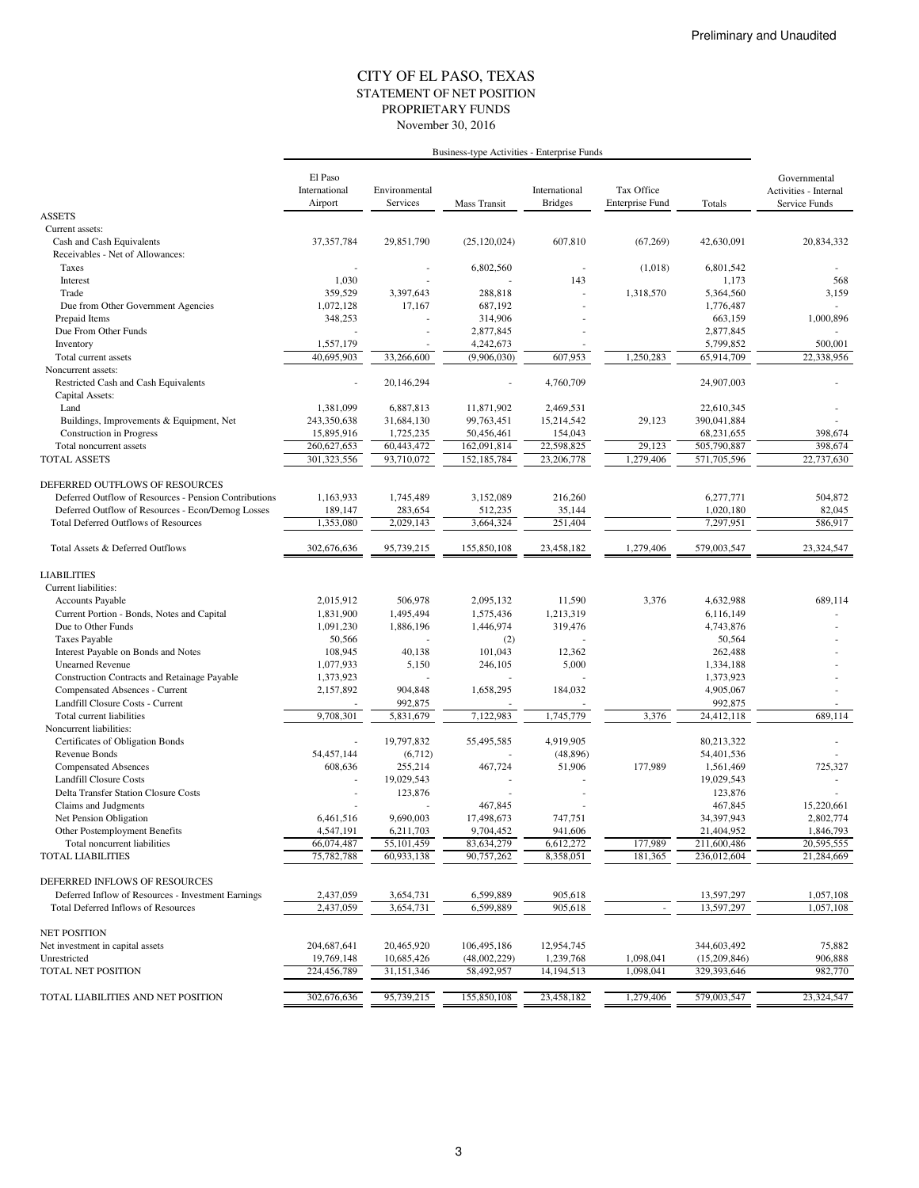#### STATEMENT OF NET POSITION CITY OF EL PASO, TEXAS November 30, 2016 PROPRIETARY FUNDS

|                                                         | El Paso<br>International<br>Airport | Environmental<br>Services | Mass Transit   | International<br><b>Bridges</b> | Tax Office<br><b>Enterprise Fund</b> | Totals       | Governmental<br>Activities - Internal<br>Service Funds |
|---------------------------------------------------------|-------------------------------------|---------------------------|----------------|---------------------------------|--------------------------------------|--------------|--------------------------------------------------------|
| <b>ASSETS</b>                                           |                                     |                           |                |                                 |                                      |              |                                                        |
| Current assets:                                         |                                     |                           |                |                                 |                                      |              |                                                        |
| Cash and Cash Equivalents                               | 37,357,784                          | 29.851.790                | (25, 120, 024) | 607,810                         | (67, 269)                            | 42,630,091   | 20.834.332                                             |
| Receivables - Net of Allowances:                        |                                     |                           |                |                                 |                                      |              |                                                        |
| Taxes                                                   |                                     |                           | 6,802,560      | $\overline{\phantom{a}}$        | (1,018)                              | 6,801,542    |                                                        |
| Interest                                                | 1,030                               |                           |                | 143                             |                                      | 1,173        | 568                                                    |
| Trade                                                   | 359,529                             | 3,397,643                 | 288,818        |                                 | 1,318,570                            | 5,364,560    | 3,159                                                  |
| Due from Other Government Agencies                      | 1,072,128                           | 17,167                    | 687,192        |                                 |                                      | 1,776,487    |                                                        |
| Prepaid Items                                           | 348,253                             |                           | 314,906        |                                 |                                      | 663,159      | 1,000,896                                              |
| Due From Other Funds                                    |                                     |                           | 2,877,845      |                                 |                                      | 2,877,845    |                                                        |
| Inventory                                               | 1,557,179                           |                           | 4,242,673      |                                 |                                      | 5,799,852    | 500,001                                                |
| Total current assets                                    | 40,695,903                          | 33,266,600                | (9,906,030)    | 607,953                         | 1,250,283                            | 65,914,709   | 22,338,956                                             |
| Noncurrent assets:                                      |                                     |                           |                |                                 |                                      |              |                                                        |
| Restricted Cash and Cash Equivalents<br>Capital Assets: |                                     | 20,146,294                |                | 4,760,709                       |                                      | 24,907,003   |                                                        |
| Land                                                    | 1,381,099                           | 6,887,813                 | 11,871,902     | 2,469,531                       |                                      | 22,610,345   |                                                        |
| Buildings, Improvements & Equipment, Net                | 243,350,638                         | 31,684,130                | 99,763,451     | 15,214,542                      | 29,123                               | 390,041,884  |                                                        |
| <b>Construction</b> in Progress                         | 15,895,916                          | 1,725,235                 | 50,456,461     | 154,043                         |                                      | 68,231,655   | 398,674                                                |
| Total noncurrent assets                                 | 260,627,653                         | 60,443,472                | 162,091,814    | 22,598,825                      | 29,123                               | 505,790,887  | 398,674                                                |
| <b>TOTAL ASSETS</b>                                     | 301,323,556                         | 93,710,072                | 152,185,784    | 23,206,778                      | 1,279,406                            | 571,705,596  | 22,737,630                                             |
| DEFERRED OUTFLOWS OF RESOURCES                          |                                     |                           |                |                                 |                                      |              |                                                        |
| Deferred Outflow of Resources - Pension Contributions   | 1,163,933                           | 1,745,489                 | 3.152.089      | 216,260                         |                                      | 6,277,771    | 504,872                                                |
| Deferred Outflow of Resources - Econ/Demog Losses       | 189,147                             | 283,654                   | 512,235        | 35,144                          |                                      | 1,020,180    | 82,045                                                 |
| <b>Total Deferred Outflows of Resources</b>             | 1,353,080                           | 2,029,143                 | 3,664,324      | 251,404                         |                                      | 7,297,951    | 586,917                                                |
| Total Assets & Deferred Outflows                        | 302,676,636                         | 95,739,215                | 155,850,108    | 23,458,182                      | 1,279,406                            | 579,003,547  | 23,324,547                                             |
| <b>LIABILITIES</b>                                      |                                     |                           |                |                                 |                                      |              |                                                        |
| Current liabilities:                                    |                                     |                           |                |                                 |                                      |              |                                                        |
| Accounts Payable                                        | 2,015,912                           | 506,978                   | 2,095,132      | 11,590                          | 3,376                                | 4,632,988    | 689,114                                                |
| Current Portion - Bonds, Notes and Capital              | 1,831,900                           | 1,495,494                 | 1,575,436      | 1,213,319                       |                                      | 6,116,149    |                                                        |
| Due to Other Funds                                      | 1,091,230                           | 1,886,196                 | 1,446,974      | 319,476                         |                                      | 4,743,876    |                                                        |
| <b>Taxes Payable</b>                                    | 50,566                              |                           | (2)            |                                 |                                      | 50,564       |                                                        |
| Interest Payable on Bonds and Notes                     | 108,945                             | 40,138                    | 101,043        | 12,362                          |                                      | 262,488      |                                                        |
| <b>Unearned Revenue</b>                                 | 1,077,933                           | 5,150                     | 246,105        | 5,000                           |                                      | 1,334,188    |                                                        |
| Construction Contracts and Retainage Payable            | 1,373,923                           |                           |                |                                 |                                      | 1,373,923    |                                                        |
| Compensated Absences - Current                          | 2,157,892                           | 904,848                   | 1,658,295      | 184,032                         |                                      | 4,905,067    |                                                        |
| Landfill Closure Costs - Current                        |                                     | 992,875                   |                |                                 |                                      | 992,875      |                                                        |
| Total current liabilities                               | 9,708,301                           | 5,831,679                 | 7,122,983      | 1,745,779                       | 3,376                                | 24,412,118   | 689,114                                                |
| Noncurrent liabilities:                                 |                                     |                           |                |                                 |                                      |              |                                                        |
| Certificates of Obligation Bonds                        |                                     | 19,797,832                | 55,495,585     | 4,919,905                       |                                      | 80,213,322   |                                                        |
| Revenue Bonds                                           | 54,457,144                          | (6,712)                   |                | (48, 896)                       |                                      | 54,401,536   |                                                        |
| <b>Compensated Absences</b>                             | 608,636                             | 255,214                   | 467,724        | 51,906                          | 177,989                              | 1,561,469    | 725,327                                                |
| <b>Landfill Closure Costs</b>                           |                                     | 19,029,543                |                |                                 |                                      | 19,029,543   |                                                        |
| Delta Transfer Station Closure Costs                    |                                     | 123,876                   |                |                                 |                                      | 123,876      |                                                        |
| Claims and Judgments                                    |                                     |                           | 467,845        |                                 |                                      | 467,845      | 15,220,661                                             |
| Net Pension Obligation                                  | 6,461,516                           | 9,690,003                 | 17,498,673     | 747,751                         |                                      | 34,397,943   | 2,802,774                                              |
| Other Postemployment Benefits                           | 4,547,191                           | 6,211,703                 | 9,704,452      | 941,606                         |                                      | 21,404,952   | 1,846,793                                              |
| Total noncurrent liabilities                            | 66,074,487                          | 55,101,459                | 83,634,279     | 6,612,272                       | 177,989                              | 211,600,486  | 20,595,555                                             |
| <b>TOTAL LIABILITIES</b>                                | 75,782,788                          | 60,933,138                | 90,757,262     | 8,358,051                       | 181,365                              | 236,012,604  | 21,284,669                                             |
|                                                         |                                     |                           |                |                                 |                                      |              |                                                        |
| DEFERRED INFLOWS OF RESOURCES                           |                                     |                           |                |                                 |                                      |              |                                                        |
| Deferred Inflow of Resources - Investment Earnings      | 2,437,059                           | 3,654,731                 | 6,599,889      | 905,618                         |                                      | 13,597,297   | 1,057,108                                              |
| <b>Total Deferred Inflows of Resources</b>              | 2,437,059                           | 3,654,731                 | 6,599,889      | 905,618                         | $\overline{\phantom{a}}$             | 13,597,297   | 1,057,108                                              |
| <b>NET POSITION</b>                                     |                                     |                           |                |                                 |                                      |              |                                                        |
| Net investment in capital assets                        | 204,687,641                         | 20,465,920                | 106,495,186    | 12,954,745                      |                                      | 344,603,492  | 75,882                                                 |
| Unrestricted                                            | 19,769,148                          | 10,685,426                | (48,002,229)   | 1,239,768                       | 1,098,041                            | (15,209,846) | 906,888                                                |
| <b>TOTAL NET POSITION</b>                               | 224,456,789                         | 31,151,346                | 58,492,957     | 14, 194, 513                    | 1,098,041                            | 329,393,646  | 982,770                                                |
|                                                         |                                     |                           |                |                                 |                                      |              |                                                        |
| TOTAL LIABILITIES AND NET POSITION                      | 302,676,636                         | 95,739,215                | 155,850,108    | 23,458,182                      | 1,279,406                            | 579,003,547  | 23,324,547                                             |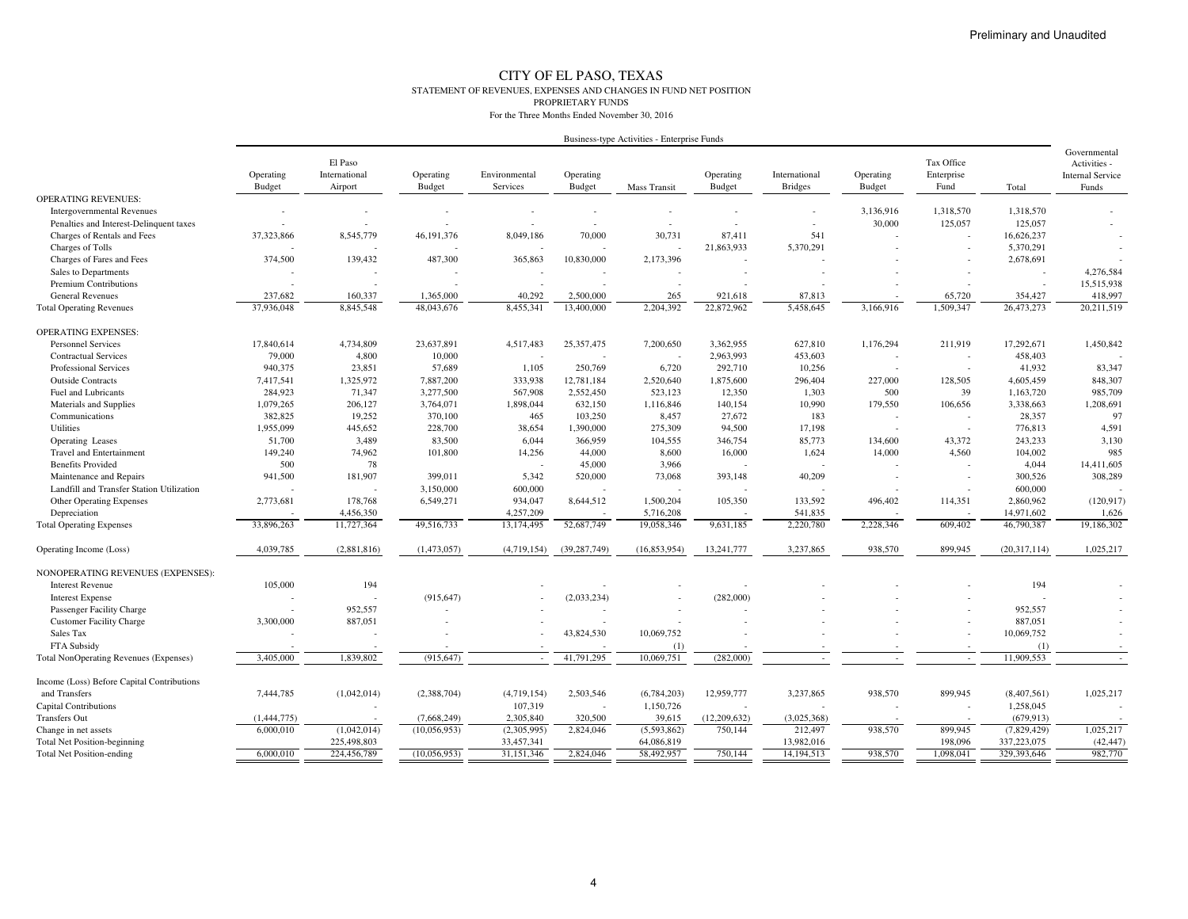#### CITY OF EL PASO, TEXAS STATEMENT OF REVENUES, EXPENSES AND CHANGES IN FUND NET POSITIONPROPRIETARY FUNDSFor the Three Months Ended November 30, 2016

|                                            | Business-type Activities - Enterprise Funds |                                     |                     |                           |                            |                          |                     |                                 |                            |                                  |                |                                                                  |
|--------------------------------------------|---------------------------------------------|-------------------------------------|---------------------|---------------------------|----------------------------|--------------------------|---------------------|---------------------------------|----------------------------|----------------------------------|----------------|------------------------------------------------------------------|
|                                            | Operating<br><b>Budget</b>                  | El Paso<br>International<br>Airport | Operating<br>Budget | Environmental<br>Services | Operating<br><b>Budget</b> | <b>Mass Transit</b>      | Operating<br>Budget | International<br><b>Bridges</b> | Operating<br><b>Budget</b> | Tax Office<br>Enterprise<br>Fund | Total          | Governmental<br>Activities -<br><b>Internal Service</b><br>Funds |
| <b>OPERATING REVENUES:</b>                 |                                             |                                     |                     |                           |                            |                          |                     |                                 |                            |                                  |                |                                                                  |
| <b>Intergovernmental Revenues</b>          |                                             |                                     |                     |                           | $\overline{\phantom{a}}$   |                          |                     | ٠                               | 3,136,916                  | 1,318,570                        | 1,318,570      |                                                                  |
| Penalties and Interest-Delinquent taxes    |                                             |                                     |                     |                           |                            |                          |                     |                                 | 30,000                     | 125,057                          | 125,057        |                                                                  |
| Charges of Rentals and Fees                | 37,323,866                                  | 8,545,779                           | 46, 191, 376        | 8,049,186                 | 70,000                     | 30,731                   | 87,411              | 541                             |                            |                                  | 16,626,237     |                                                                  |
| Charges of Tolls                           |                                             |                                     |                     |                           |                            |                          | 21,863,933          | 5,370,291                       |                            |                                  | 5,370,291      |                                                                  |
| Charges of Fares and Fees                  | 374,500                                     | 139,432                             | 487,300             | 365,863                   | 10,830,000                 | 2,173,396                |                     |                                 |                            |                                  | 2,678,691      |                                                                  |
| Sales to Departments                       |                                             |                                     |                     |                           |                            |                          |                     |                                 |                            |                                  |                | 4,276,584                                                        |
| <b>Premium Contributions</b>               |                                             |                                     |                     |                           |                            |                          |                     |                                 |                            |                                  |                | 15,515,938                                                       |
| <b>General Revenues</b>                    | 237.682                                     | 160,337                             | 1.365,000           | 40.292                    | 2,500,000                  | 265                      | 921.618             | 87.813                          |                            | 65,720                           | 354,427        | 418,997                                                          |
| <b>Total Operating Revenues</b>            | 37,936,048                                  | 8,845,548                           | 48,043,676          | 8,455,341                 | 13,400,000                 | 2,204,392                | 22,872,962          | 5,458,645                       | 3,166,916                  | 1,509,347                        | 26,473,273     | 20,211,519                                                       |
| <b>OPERATING EXPENSES:</b>                 |                                             |                                     |                     |                           |                            |                          |                     |                                 |                            |                                  |                |                                                                  |
| <b>Personnel Services</b>                  | 17,840,614                                  | 4,734,809                           | 23,637,891          | 4,517,483                 | 25,357,475                 | 7,200,650                | 3,362,955           | 627,810                         | 1,176,294                  | 211,919                          | 17,292,671     | 1,450,842                                                        |
| <b>Contractual Services</b>                | 79,000                                      | 4,800                               | 10,000              |                           |                            |                          | 2,963,993           | 453,603                         |                            |                                  | 458,403        |                                                                  |
| <b>Professional Services</b>               | 940,375                                     | 23,851                              | 57,689              | 1,105                     | 250,769                    | 6,720                    | 292,710             | 10,256                          |                            |                                  | 41,932         | 83,347                                                           |
| <b>Outside Contracts</b>                   | 7,417,541                                   | 1,325,972                           | 7,887,200           | 333,938                   | 12,781,184                 | 2,520,640                | 1,875,600           | 296,404                         | 227,000                    | 128,505                          | 4,605,459      | 848,307                                                          |
| Fuel and Lubricants                        | 284,923                                     | 71,347                              | 3,277,500           | 567,908                   | 2,552,450                  | 523,123                  | 12,350              | 1,303                           | 500                        | 39                               | 1,163,720      | 985,709                                                          |
| Materials and Supplies                     | 1,079,265                                   | 206,127                             | 3,764,071           | 1,898,044                 | 632,150                    | 1,116,846                | 140,154             | 10,990                          | 179,550                    | 106,656                          | 3,338,663      | 1,208,691                                                        |
| Communications                             | 382,825                                     | 19,252                              | 370,100             | 465                       | 103,250                    | 8,457                    | 27,672              | 183                             |                            |                                  | 28,357         | 97                                                               |
| Utilities                                  | 1,955,099                                   | 445,652                             | 228,700             | 38,654                    | 1,390,000                  | 275,309                  | 94,500              | 17,198                          |                            | $\overline{\phantom{a}}$         | 776,813        | 4,591                                                            |
| Operating Leases                           | 51,700                                      | 3,489                               | 83,500              | 6,044                     | 366,959                    | 104,555                  | 346,754             | 85,773                          | 134,600                    | 43.372                           | 243,233        | 3,130                                                            |
| <b>Travel and Entertainment</b>            | 149,240                                     | 74,962                              | 101,800             | 14,256                    | 44,000                     | 8,600                    | 16,000              | 1,624                           | 14,000                     | 4,560                            | 104,002        | 985                                                              |
| <b>Benefits Provided</b>                   | 500                                         | 78                                  |                     |                           | 45,000                     | 3,966                    |                     |                                 |                            |                                  | 4,044          | 14,411,605                                                       |
| Maintenance and Repairs                    | 941,500                                     | 181,907                             | 399,011             | 5,342                     | 520,000                    | 73,068                   | 393,148             | 40,209                          |                            |                                  | 300,526        | 308,289                                                          |
| Landfill and Transfer Station Utilization  |                                             | $\overline{\phantom{a}}$            | 3,150,000           | 600,000                   |                            | $\overline{\phantom{a}}$ |                     |                                 |                            |                                  | 600,000        |                                                                  |
| Other Operating Expenses                   | 2,773,681                                   | 178,768                             | 6,549,271           | 934,047                   | 8,644,512                  | 1,500,204                | 105,350             | 133,592                         | 496,402                    | 114,351                          | 2,860,962      | (120, 917)                                                       |
| Depreciation                               |                                             | 4,456,350                           |                     | 4,257,209                 |                            | 5,716,208                |                     | 541,835                         |                            |                                  | 14,971,602     | 1,626                                                            |
| <b>Total Operating Expenses</b>            | 33,896,263                                  | 11,727,364                          | 49,516,733          | 13,174,495                | 52,687,749                 | 19,058,346               | 9,631,185           | 2,220,780                       | 2,228,346                  | 609,402                          | 46,790,387     | 19,186,302                                                       |
| Operating Income (Loss)                    | 4,039,785                                   | (2,881,816)                         | (1,473,057)         | (4,719,154)               | (39, 287, 749)             | (16, 853, 954)           | 13,241,777          | 3,237,865                       | 938,570                    | 899,945                          | (20, 317, 114) | 1,025,217                                                        |
| NONOPERATING REVENUES (EXPENSES):          |                                             |                                     |                     |                           |                            |                          |                     |                                 |                            |                                  |                |                                                                  |
| <b>Interest Revenue</b>                    | 105,000                                     | 194                                 |                     |                           |                            |                          |                     |                                 |                            |                                  | 194            |                                                                  |
| <b>Interest Expense</b>                    |                                             |                                     | (915, 647)          |                           | (2,033,234)                |                          | (282,000)           |                                 |                            |                                  |                |                                                                  |
| Passenger Facility Charge                  |                                             | 952,557                             |                     |                           |                            |                          |                     |                                 |                            |                                  | 952,557        |                                                                  |
| <b>Customer Facility Charge</b>            | 3,300,000                                   | 887,051                             |                     |                           |                            |                          |                     |                                 |                            |                                  | 887,051        |                                                                  |
| Sales Tax                                  |                                             |                                     |                     |                           | 43,824,530                 | 10,069,752               |                     |                                 |                            | $\overline{a}$                   | 10,069,752     |                                                                  |
| FTA Subsidy                                |                                             |                                     |                     |                           |                            | (1)                      |                     |                                 |                            |                                  | (1)            |                                                                  |
| Total NonOperating Revenues (Expenses)     | 3,405,000                                   | 1,839,802                           | (915.647)           |                           | 41,791,295                 | 10,069,751               | (282,000)           |                                 |                            | $\overline{\phantom{a}}$         | 11,909,553     | $\sim$                                                           |
| Income (Loss) Before Capital Contributions |                                             |                                     |                     |                           |                            |                          |                     |                                 |                            |                                  |                |                                                                  |
| and Transfers                              | 7,444,785                                   | (1,042,014)                         | (2,388,704)         | (4,719,154)               | 2,503,546                  | (6,784,203)              | 12,959,777          | 3,237,865                       | 938,570                    | 899.945                          | (8,407,561)    | 1,025,217                                                        |
| <b>Capital Contributions</b>               |                                             |                                     |                     | 107,319                   | $\overline{\phantom{a}}$   | 1,150,726                |                     |                                 |                            |                                  | 1,258,045      |                                                                  |
| <b>Transfers Out</b>                       | (1,444,775)                                 |                                     | (7,668,249)         | 2,305,840                 | 320,500                    | 39,615                   | (12,209,632)        | (3,025,368)                     |                            |                                  | (679.913)      |                                                                  |
| Change in net assets                       | 6,000,010                                   | (1,042,014)                         | (10,056,953)        | (2,305,995)               | 2,824,046                  | (5,593,862)              | 750,144             | 212,497                         | 938,570                    | 899,945                          | (7,829,429)    | 1,025,217                                                        |
| <b>Total Net Position-beginning</b>        |                                             | 225,498,803                         |                     | 33.457.341                |                            | 64,086,819               |                     | 13.982.016                      |                            | 198,096                          | 337,223,075    | (42, 447)                                                        |
| <b>Total Net Position-ending</b>           | 6,000,010                                   | 224,456,789                         | (10,056,953)        | 31,151,346                | 2,824,046                  | 58,492,957               | 750,144             | 14, 194, 513                    | 938,570                    | 1,098,041                        | 329,393,646    | 982,770                                                          |
|                                            |                                             |                                     |                     |                           |                            |                          |                     |                                 |                            |                                  |                |                                                                  |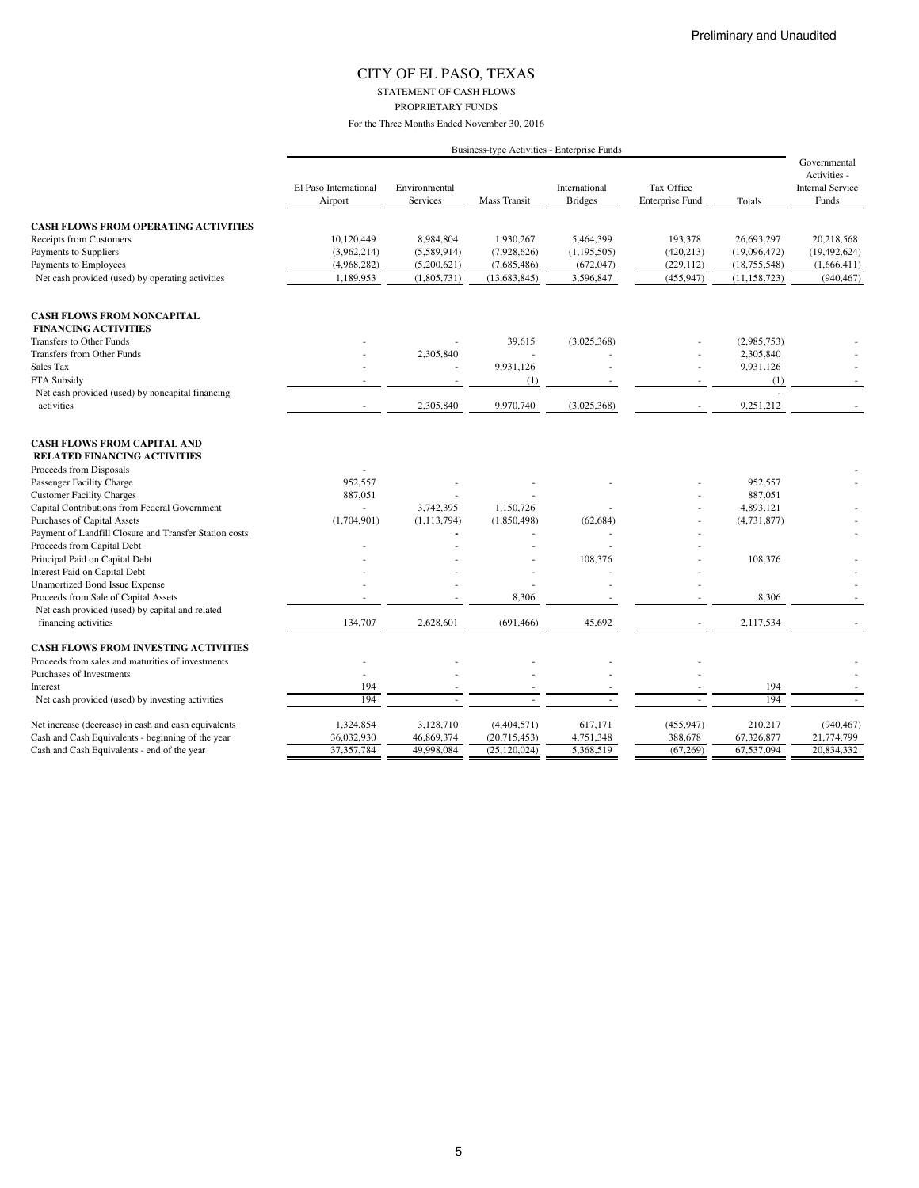STATEMENT OF CASH FLOWS

PROPRIETARY FUNDS

|                                                                           |                                  |                                  |                | Business-type Activities - Enterprise Funds |                                      |                |                                                                  |
|---------------------------------------------------------------------------|----------------------------------|----------------------------------|----------------|---------------------------------------------|--------------------------------------|----------------|------------------------------------------------------------------|
|                                                                           | El Paso International<br>Airport | Environmental<br><b>Services</b> | Mass Transit   | International<br><b>Bridges</b>             | Tax Office<br><b>Enterprise Fund</b> | Totals         | Governmental<br>Activities -<br><b>Internal Service</b><br>Funds |
| <b>CASH FLOWS FROM OPERATING ACTIVITIES</b>                               |                                  |                                  |                |                                             |                                      |                |                                                                  |
| Receipts from Customers                                                   | 10,120,449                       | 8,984,804                        | 1,930,267      | 5,464,399                                   | 193,378                              | 26,693,297     | 20,218,568                                                       |
| Payments to Suppliers                                                     | (3,962,214)                      | (5,589,914)                      | (7,928,626)    | (1, 195, 505)                               | (420, 213)                           | (19,096,472)   | (19, 492, 624)                                                   |
| Payments to Employees                                                     | (4,968,282)                      | (5,200,621)                      | (7,685,486)    | (672, 047)                                  | (229, 112)                           | (18, 755, 548) | (1,666,411)                                                      |
| Net cash provided (used) by operating activities                          | 1,189,953                        | (1,805,731)                      | (13, 683, 845) | 3,596,847                                   | (455, 947)                           | (11, 158, 723) | (940, 467)                                                       |
| <b>CASH FLOWS FROM NONCAPITAL</b>                                         |                                  |                                  |                |                                             |                                      |                |                                                                  |
| <b>FINANCING ACTIVITIES</b>                                               |                                  |                                  |                |                                             |                                      |                |                                                                  |
| Transfers to Other Funds                                                  |                                  |                                  | 39,615         | (3,025,368)                                 |                                      | (2,985,753)    |                                                                  |
| Transfers from Other Funds                                                |                                  | 2,305,840                        | ٠              |                                             |                                      | 2,305,840      |                                                                  |
| Sales Tax                                                                 |                                  |                                  | 9,931,126      |                                             |                                      | 9,931,126      |                                                                  |
| FTA Subsidy                                                               |                                  |                                  | (1)            |                                             | $\sim$                               | (1)            | $\sim$                                                           |
| Net cash provided (used) by noncapital financing                          |                                  |                                  |                |                                             |                                      |                |                                                                  |
| activities                                                                | $\sim$                           | 2,305,840                        | 9,970,740      | (3,025,368)                                 | $\overline{\phantom{a}}$             | 9,251,212      |                                                                  |
| <b>CASH FLOWS FROM CAPITAL AND</b><br><b>RELATED FINANCING ACTIVITIES</b> |                                  |                                  |                |                                             |                                      |                |                                                                  |
| Proceeds from Disposals                                                   |                                  |                                  |                |                                             |                                      |                |                                                                  |
| Passenger Facility Charge                                                 | 952,557                          |                                  |                |                                             |                                      | 952,557        |                                                                  |
| <b>Customer Facility Charges</b>                                          | 887,051                          |                                  |                |                                             |                                      | 887,051        |                                                                  |
| Capital Contributions from Federal Government                             | $\sim$                           | 3,742,395                        | 1,150,726      |                                             |                                      | 4,893,121      |                                                                  |
| Purchases of Capital Assets                                               | (1,704,901)                      | (1, 113, 794)                    | (1,850,498)    | (62, 684)                                   |                                      | (4, 731, 877)  |                                                                  |
| Payment of Landfill Closure and Transfer Station costs                    |                                  |                                  |                |                                             |                                      |                |                                                                  |
| Proceeds from Capital Debt                                                |                                  |                                  |                |                                             |                                      |                |                                                                  |
| Principal Paid on Capital Debt                                            |                                  |                                  |                | 108,376                                     |                                      | 108,376        |                                                                  |
| Interest Paid on Capital Debt                                             |                                  |                                  |                |                                             |                                      |                |                                                                  |
| Unamortized Bond Issue Expense                                            |                                  |                                  |                |                                             |                                      |                |                                                                  |
| Proceeds from Sale of Capital Assets                                      |                                  |                                  | 8,306          |                                             |                                      | 8,306          |                                                                  |
| Net cash provided (used) by capital and related                           |                                  |                                  |                |                                             |                                      |                |                                                                  |
| financing activities                                                      | 134,707                          | 2,628,601                        | (691, 466)     | 45,692                                      |                                      | 2,117,534      |                                                                  |
| <b>CASH FLOWS FROM INVESTING ACTIVITIES</b>                               |                                  |                                  |                |                                             |                                      |                |                                                                  |
| Proceeds from sales and maturities of investments                         |                                  |                                  |                |                                             |                                      |                |                                                                  |
| Purchases of Investments                                                  |                                  |                                  |                |                                             |                                      |                |                                                                  |
| Interest                                                                  | 194                              |                                  |                |                                             |                                      | 194            |                                                                  |
| Net cash provided (used) by investing activities                          | 194                              |                                  |                |                                             |                                      | 194            | $\sim$                                                           |
| Net increase (decrease) in cash and cash equivalents                      | 1,324,854                        | 3,128,710                        | (4,404,571)    | 617,171                                     | (455, 947)                           | 210,217        | (940, 467)                                                       |
| Cash and Cash Equivalents - beginning of the year                         | 36,032,930                       | 46,869,374                       | (20,715,453)   | 4,751,348                                   | 388,678                              | 67,326,877     | 21,774,799                                                       |
| Cash and Cash Equivalents - end of the year                               | 37,357,784                       | 49,998,084                       | (25, 120, 024) | 5,368,519                                   | (67, 269)                            | 67,537,094     | 20,834,332                                                       |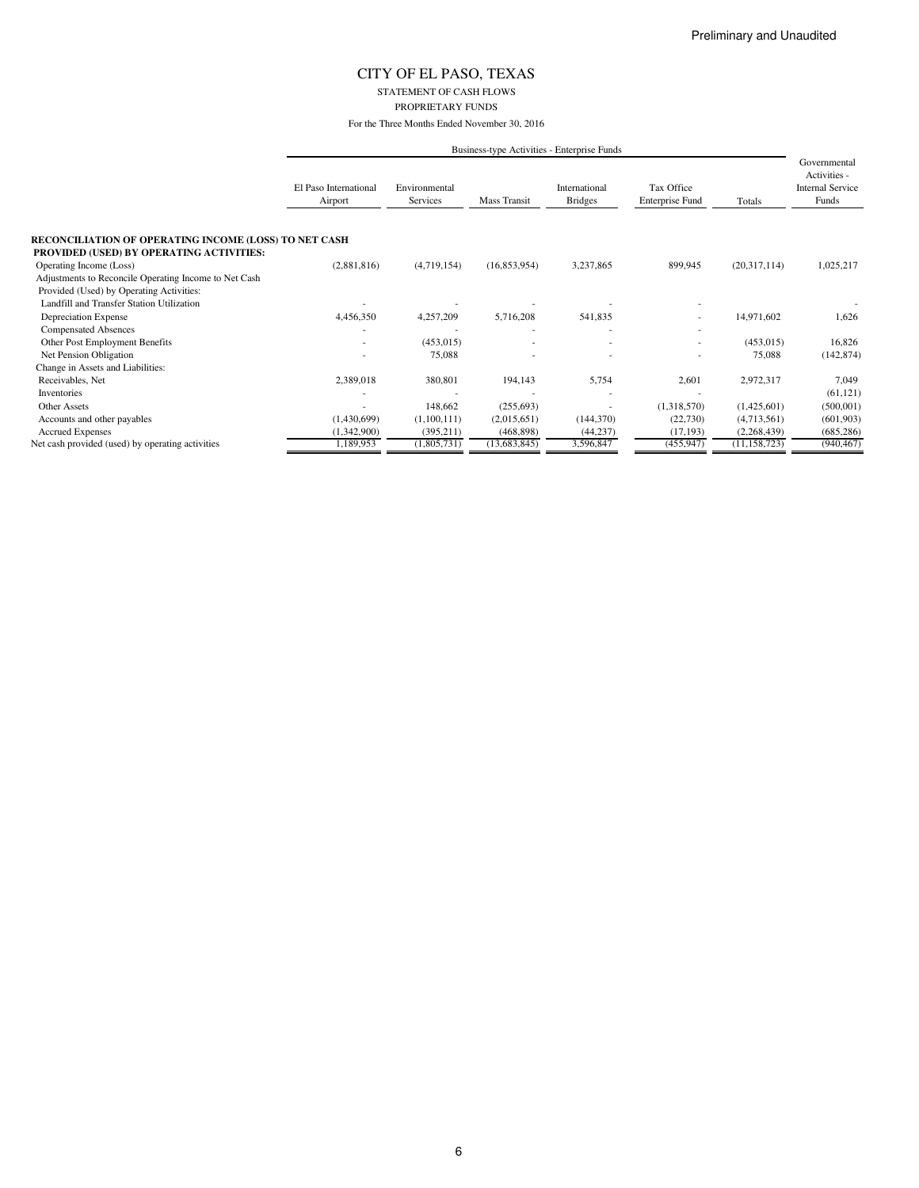#### STATEMENT OF CASH FLOWS PROPRIETARY FUNDS

For the Three Months Ended November 30, 2016

|                                                                                                          |                                  |                           |              | Business-type Activities - Enterprise Funds |                                      |                |                                                                  |  |
|----------------------------------------------------------------------------------------------------------|----------------------------------|---------------------------|--------------|---------------------------------------------|--------------------------------------|----------------|------------------------------------------------------------------|--|
|                                                                                                          | El Paso International<br>Airport | Environmental<br>Services | Mass Transit | International<br><b>Bridges</b>             | Tax Office<br><b>Enterprise Fund</b> | Totals         | Governmental<br>Activities -<br><b>Internal Service</b><br>Funds |  |
| <b>RECONCILIATION OF OPERATING INCOME (LOSS) TO NET CASH</b><br>PROVIDED (USED) BY OPERATING ACTIVITIES: |                                  |                           |              |                                             |                                      |                |                                                                  |  |
| Operating Income (Loss)                                                                                  | (2,881,816)                      | (4,719,154)               | (16,853,954) | 3,237,865                                   | 899,945                              | (20,317,114)   | 1,025,217                                                        |  |
| Adjustments to Reconcile Operating Income to Net Cash                                                    |                                  |                           |              |                                             |                                      |                |                                                                  |  |
| Provided (Used) by Operating Activities:                                                                 |                                  |                           |              |                                             |                                      |                |                                                                  |  |
| Landfill and Transfer Station Utilization                                                                |                                  |                           |              |                                             |                                      |                |                                                                  |  |
| Depreciation Expense                                                                                     | 4,456,350                        | 4,257,209                 | 5,716,208    | 541,835                                     | ۰                                    | 14,971,602     | 1,626                                                            |  |
| <b>Compensated Absences</b>                                                                              |                                  |                           |              |                                             |                                      |                |                                                                  |  |
| Other Post Employment Benefits                                                                           |                                  | (453, 015)                |              |                                             | ۰                                    | (453, 015)     | 16,826                                                           |  |
| Net Pension Obligation                                                                                   |                                  | 75,088                    |              |                                             |                                      | 75,088         | (142, 874)                                                       |  |
| Change in Assets and Liabilities:                                                                        |                                  |                           |              |                                             |                                      |                |                                                                  |  |
| Receivables, Net                                                                                         | 2,389,018                        | 380,801                   | 194,143      | 5,754                                       | 2,601                                | 2,972,317      | 7,049                                                            |  |
| Inventories                                                                                              |                                  |                           |              |                                             |                                      |                | (61, 121)                                                        |  |
| <b>Other Assets</b>                                                                                      |                                  | 148,662                   | (255, 693)   | $\overline{\phantom{a}}$                    | (1,318,570)                          | (1,425,601)    | (500, 001)                                                       |  |
| Accounts and other payables                                                                              | (1,430,699)                      | (1,100,111)               | (2,015,651)  | (144, 370)                                  | (22,730)                             | (4,713,561)    | (601, 903)                                                       |  |
| <b>Accrued Expenses</b>                                                                                  | (1,342,900)                      | (395, 211)                | (468, 898)   | (44, 237)                                   | (17, 193)                            | (2,268,439)    | (685, 286)                                                       |  |
| Net cash provided (used) by operating activities                                                         | 1,189,953                        | (1,805,731)               | (13,683,845) | 3,596,847                                   | (455, 947)                           | (11, 158, 723) | (940, 467)                                                       |  |

6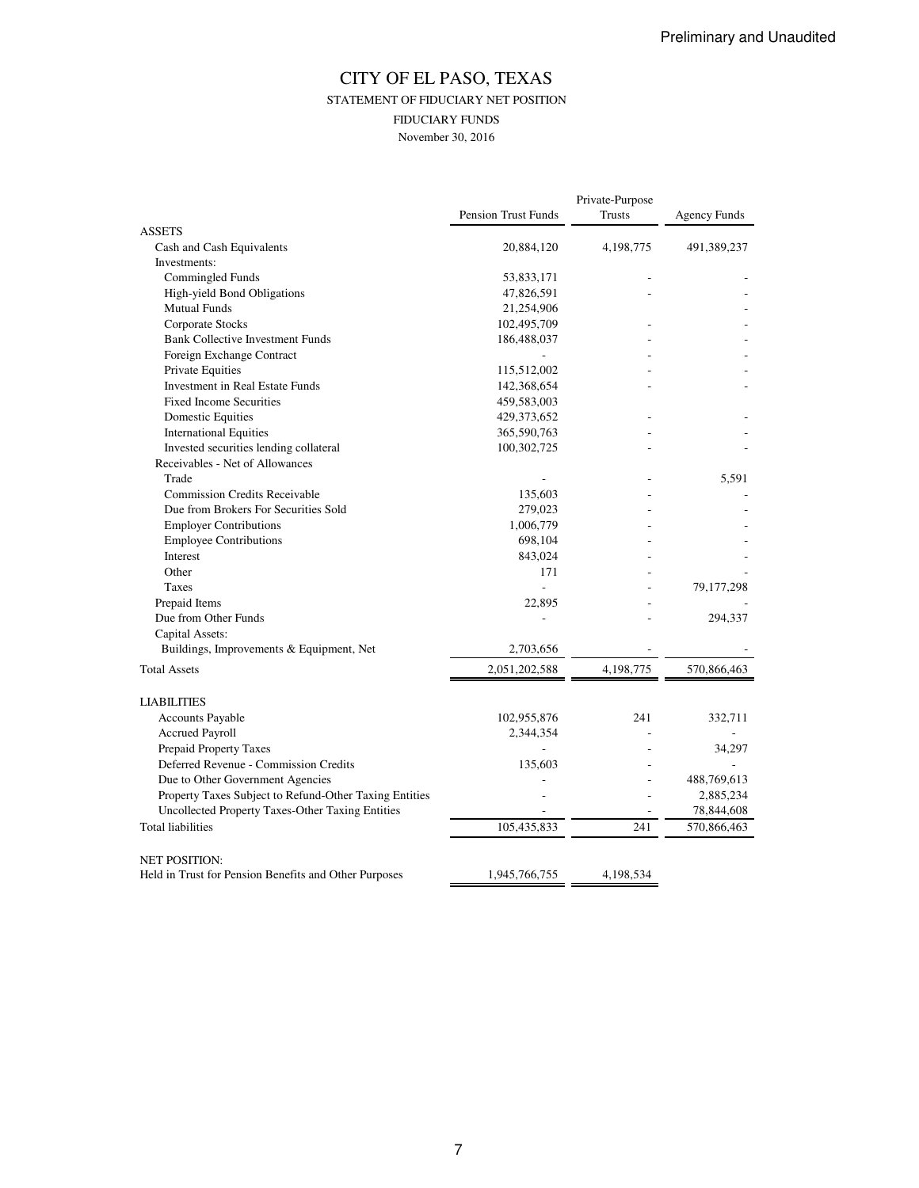## CITY OF EL PASO, TEXAS STATEMENT OF FIDUCIARY NET POSITION FIDUCIARY FUNDS November 30, 2016

|                                                        |                            | Private-Purpose |                     |
|--------------------------------------------------------|----------------------------|-----------------|---------------------|
|                                                        | <b>Pension Trust Funds</b> | Trusts          | <b>Agency Funds</b> |
| <b>ASSETS</b><br>Cash and Cash Equivalents             | 20,884,120                 | 4, 198, 775     | 491,389,237         |
| Investments:                                           |                            |                 |                     |
| Commingled Funds                                       | 53,833,171                 |                 |                     |
| High-yield Bond Obligations                            | 47,826,591                 |                 |                     |
| <b>Mutual Funds</b>                                    | 21,254,906                 |                 |                     |
| Corporate Stocks                                       | 102,495,709                |                 |                     |
| <b>Bank Collective Investment Funds</b>                |                            |                 |                     |
|                                                        | 186,488,037                |                 |                     |
| Foreign Exchange Contract                              |                            |                 |                     |
| Private Equities                                       | 115,512,002                |                 |                     |
| Investment in Real Estate Funds                        | 142,368,654                |                 |                     |
| <b>Fixed Income Securities</b>                         | 459,583,003                |                 |                     |
| Domestic Equities                                      | 429, 373, 652              |                 |                     |
| <b>International Equities</b>                          | 365,590,763                |                 |                     |
| Invested securities lending collateral                 | 100,302,725                |                 |                     |
| Receivables - Net of Allowances                        |                            |                 |                     |
| Trade                                                  |                            |                 | 5,591               |
| <b>Commission Credits Receivable</b>                   | 135,603                    |                 |                     |
| Due from Brokers For Securities Sold                   | 279,023                    |                 |                     |
| <b>Employer Contributions</b>                          | 1,006,779                  |                 |                     |
| <b>Employee Contributions</b>                          | 698,104                    |                 |                     |
| Interest                                               | 843,024                    |                 |                     |
| Other                                                  | 171                        |                 |                     |
| Taxes                                                  | $\overline{a}$             |                 | 79,177,298          |
| Prepaid Items                                          | 22,895                     |                 |                     |
| Due from Other Funds                                   |                            |                 | 294,337             |
| Capital Assets:                                        |                            |                 |                     |
| Buildings, Improvements & Equipment, Net               | 2,703,656                  |                 |                     |
| <b>Total Assets</b>                                    | 2,051,202,588              | 4,198,775       | 570,866,463         |
| <b>LIABILITIES</b>                                     |                            |                 |                     |
| Accounts Payable                                       | 102,955,876                | 241             | 332.711             |
| Accrued Payroll                                        | 2,344,354                  |                 |                     |
| Prepaid Property Taxes                                 |                            |                 | 34,297              |
| Deferred Revenue - Commission Credits                  | 135,603                    |                 |                     |
| Due to Other Government Agencies                       |                            |                 | 488,769,613         |
| Property Taxes Subject to Refund-Other Taxing Entities |                            |                 | 2,885,234           |
| Uncollected Property Taxes-Other Taxing Entities       |                            |                 | 78,844,608          |
| <b>Total liabilities</b>                               | 105,435,833                | 241             | 570,866,463         |
| <b>NET POSITION:</b>                                   |                            |                 |                     |
| Held in Trust for Pension Benefits and Other Purposes  | 1,945,766,755              | 4,198,534       |                     |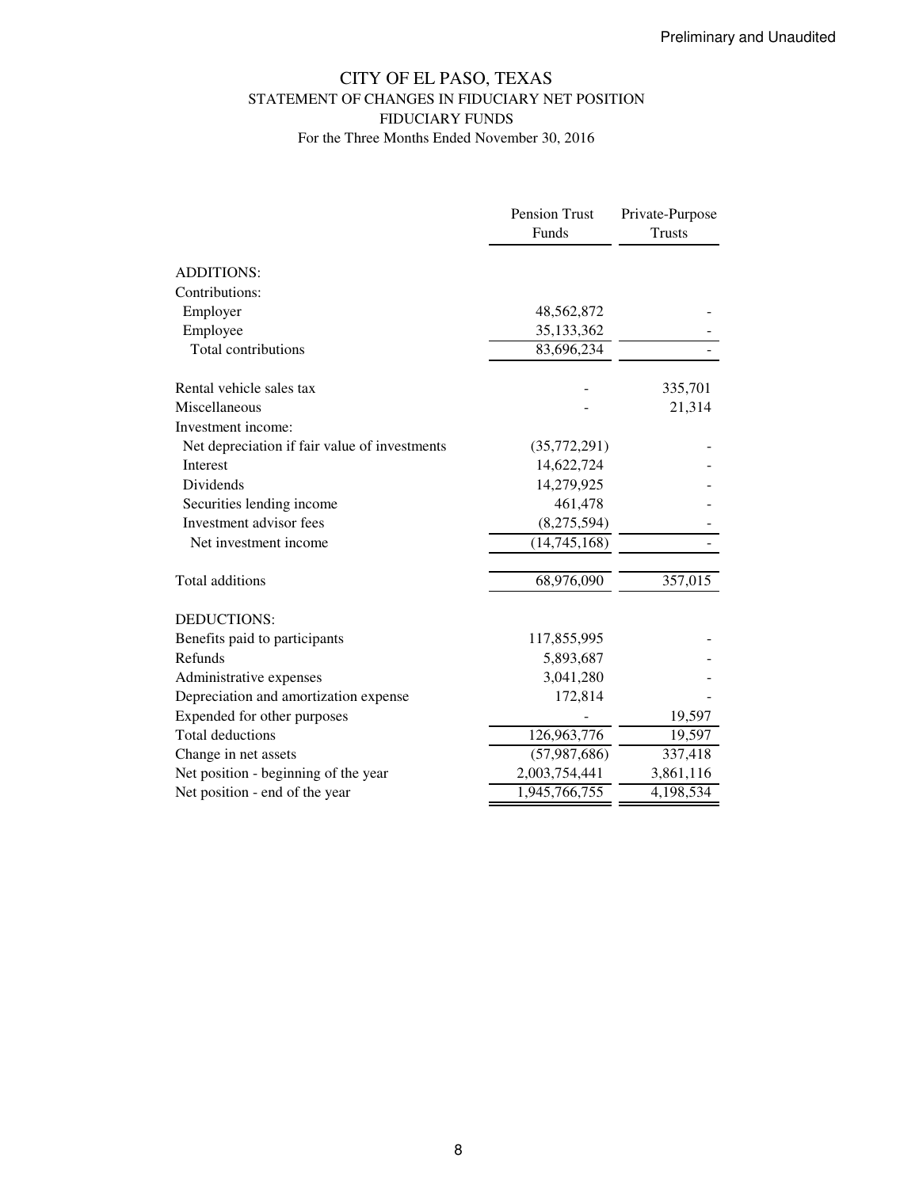# CITY OF EL PASO, TEXAS STATEMENT OF CHANGES IN FIDUCIARY NET POSITION FIDUCIARY FUNDS

|                                               | Pension Trust  | Private-Purpose |
|-----------------------------------------------|----------------|-----------------|
|                                               | Funds          | <b>Trusts</b>   |
| <b>ADDITIONS:</b>                             |                |                 |
| Contributions:                                |                |                 |
| Employer                                      | 48,562,872     |                 |
| Employee                                      | 35,133,362     |                 |
| Total contributions                           | 83,696,234     |                 |
| Rental vehicle sales tax                      |                | 335,701         |
| Miscellaneous                                 |                | 21,314          |
| Investment income:                            |                |                 |
| Net depreciation if fair value of investments | (35,772,291)   |                 |
| Interest                                      | 14,622,724     |                 |
| <b>Dividends</b>                              | 14,279,925     |                 |
| Securities lending income                     | 461,478        |                 |
| Investment advisor fees                       | (8,275,594)    |                 |
| Net investment income                         | (14,745,168)   |                 |
| Total additions                               | 68,976,090     | 357,015         |
| <b>DEDUCTIONS:</b>                            |                |                 |
| Benefits paid to participants                 | 117,855,995    |                 |
| Refunds                                       | 5,893,687      |                 |
| Administrative expenses                       | 3,041,280      |                 |
| Depreciation and amortization expense         | 172,814        |                 |
| Expended for other purposes                   |                | 19,597          |
| <b>Total deductions</b>                       | 126,963,776    | 19,597          |
| Change in net assets                          | (57, 987, 686) | 337,418         |
| Net position - beginning of the year          | 2,003,754,441  | 3,861,116       |
| Net position - end of the year                | 1,945,766,755  | 4,198,534       |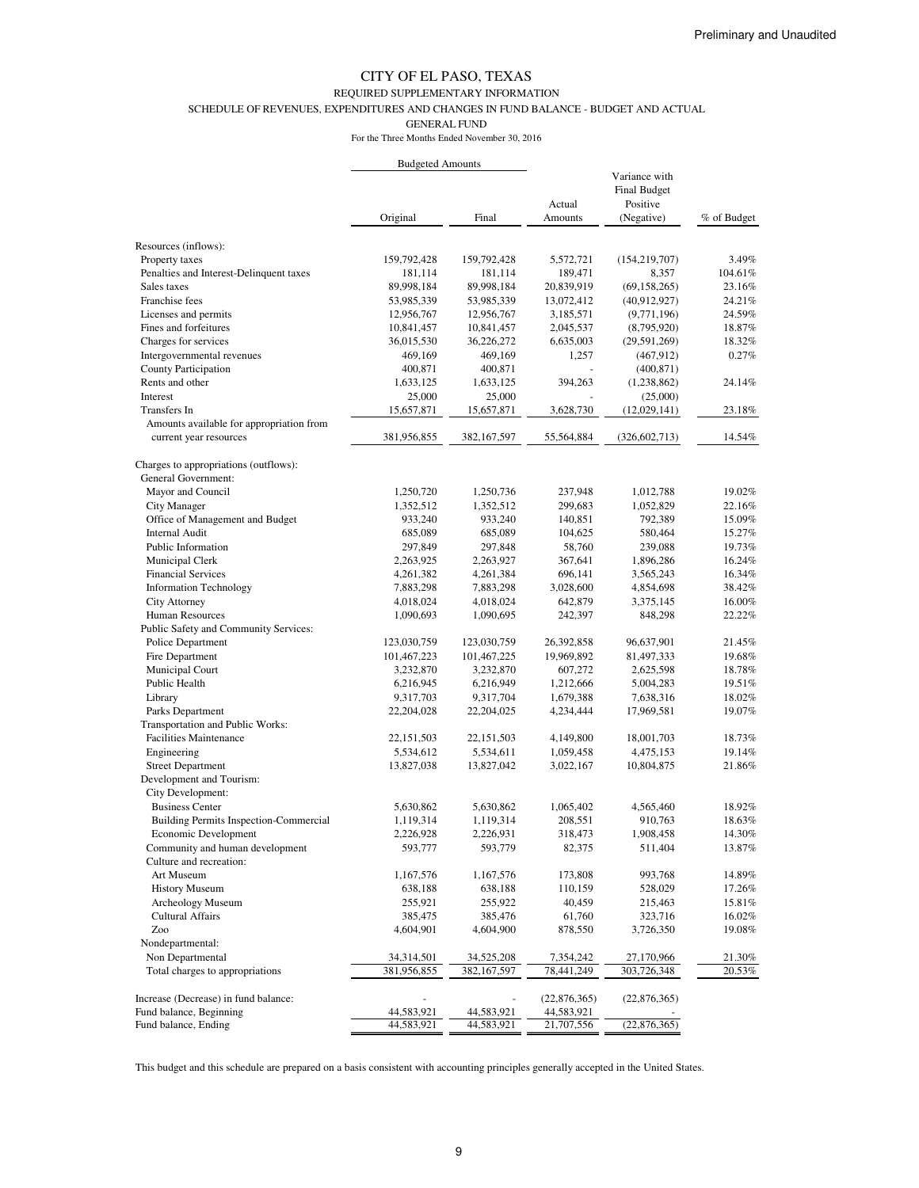### REQUIRED SUPPLEMENTARY INFORMATION

SCHEDULE OF REVENUES, EXPENDITURES AND CHANGES IN FUND BALANCE - BUDGET AND ACTUAL

GENERAL FUND

For the Three Months Ended November 30, 2016

|                                                              | <b>Budgeted Amounts</b> |              |                   |                                                                |             |
|--------------------------------------------------------------|-------------------------|--------------|-------------------|----------------------------------------------------------------|-------------|
|                                                              | Original                | Final        | Actual<br>Amounts | Variance with<br><b>Final Budget</b><br>Positive<br>(Negative) | % of Budget |
| Resources (inflows):                                         |                         |              |                   |                                                                |             |
| Property taxes                                               | 159,792,428             | 159,792,428  | 5,572,721         | (154, 219, 707)                                                | 3.49%       |
| Penalties and Interest-Delinquent taxes                      | 181,114                 | 181,114      | 189,471           | 8,357                                                          | 104.61%     |
| Sales taxes                                                  | 89,998,184              | 89,998,184   | 20,839,919        | (69, 158, 265)                                                 | 23.16%      |
| Franchise fees                                               | 53,985,339              | 53,985,339   | 13,072,412        | (40,912,927)                                                   | 24.21%      |
| Licenses and permits                                         | 12,956,767              | 12,956,767   | 3,185,571         | (9,771,196)                                                    | 24.59%      |
| Fines and forfeitures                                        | 10,841,457              | 10,841,457   | 2,045,537         | (8,795,920)                                                    | 18.87%      |
| Charges for services                                         | 36,015,530              | 36,226,272   | 6,635,003         | (29, 591, 269)                                                 | 18.32%      |
| Intergovernmental revenues                                   | 469,169                 | 469,169      | 1,257             | (467, 912)                                                     | 0.27%       |
| County Participation                                         | 400,871                 | 400,871      |                   | (400, 871)                                                     |             |
| Rents and other                                              | 1,633,125               | 1,633,125    | 394,263           | (1,238,862)                                                    | 24.14%      |
| Interest                                                     | 25,000                  | 25,000       |                   | (25,000)                                                       |             |
| Transfers In                                                 | 15,657,871              | 15,657,871   | 3,628,730         | (12,029,141)                                                   | 23.18%      |
| Amounts available for appropriation from                     |                         |              |                   |                                                                |             |
| current year resources                                       | 381,956,855             | 382,167,597  | 55,564,884        | (326, 602, 713)                                                | 14.54%      |
| Charges to appropriations (outflows):<br>General Government: |                         |              |                   |                                                                |             |
| Mayor and Council                                            | 1,250,720               | 1,250,736    | 237,948           | 1,012,788                                                      | 19.02%      |
| City Manager                                                 | 1,352,512               | 1,352,512    | 299,683           | 1,052,829                                                      | 22.16%      |
| Office of Management and Budget                              | 933,240                 | 933,240      | 140,851           | 792,389                                                        | 15.09%      |
| Internal Audit                                               | 685,089                 | 685,089      | 104,625           | 580,464                                                        | 15.27%      |
| Public Information                                           | 297,849                 | 297,848      | 58,760            | 239,088                                                        | 19.73%      |
| Municipal Clerk                                              | 2,263,925               | 2,263,927    | 367,641           | 1,896,286                                                      | 16.24%      |
| <b>Financial Services</b>                                    | 4,261,382               | 4,261,384    | 696,141           | 3,565,243                                                      | 16.34%      |
| <b>Information Technology</b>                                | 7,883,298               | 7,883,298    | 3,028,600         | 4,854,698                                                      | 38.42%      |
| <b>City Attorney</b>                                         | 4,018,024               | 4,018,024    | 642,879           | 3,375,145                                                      | 16.00%      |
| Human Resources                                              | 1,090,693               | 1,090,695    | 242,397           | 848,298                                                        | 22.22%      |
| Public Safety and Community Services:                        |                         |              |                   |                                                                |             |
| Police Department                                            | 123,030,759             | 123,030,759  | 26,392,858        | 96,637,901                                                     | 21.45%      |
| Fire Department                                              | 101,467,223             | 101,467,225  | 19,969,892        | 81,497,333                                                     | 19.68%      |
| Municipal Court                                              | 3,232,870               | 3,232,870    | 607,272           | 2,625,598                                                      | 18.78%      |
| Public Health                                                | 6,216,945               | 6,216,949    | 1,212,666         | 5,004,283                                                      | 19.51%      |
| Library                                                      | 9,317,703               | 9,317,704    | 1,679,388         | 7,638,316                                                      | 18.02%      |
| Parks Department                                             | 22,204,028              | 22,204,025   | 4,234,444         | 17,969,581                                                     | 19.07%      |
| Transportation and Public Works:                             |                         |              |                   |                                                                |             |
| <b>Facilities Maintenance</b>                                | 22, 151, 503            | 22, 151, 503 | 4,149,800         | 18,001,703                                                     | 18.73%      |
| Engineering                                                  | 5,534,612               | 5,534,611    | 1,059,458         | 4,475,153                                                      | 19.14%      |
| <b>Street Department</b>                                     | 13,827,038              | 13,827,042   | 3,022,167         | 10,804,875                                                     | 21.86%      |
| Development and Tourism:                                     |                         |              |                   |                                                                |             |
| City Development:                                            |                         |              |                   |                                                                |             |
| <b>Business Center</b>                                       | 5,630,862               | 5,630,862    | 1,065,402         | 4,565,460                                                      | 18.92%      |
| Building Permits Inspection-Commercial                       | 1,119,314               | 1,119,314    | 208,551           | 910,763                                                        | 18.63%      |
| Economic Development                                         | 2,226,928               | 2,226,931    | 318,473           | 1,908,458                                                      | 14.30%      |
| Community and human development                              | 593,777                 | 593,779      | 82,375            | 511,404                                                        | 13.87%      |
| Culture and recreation:                                      |                         |              |                   |                                                                |             |
| Art Museum                                                   | 1,167,576               | 1,167,576    | 173,808           | 993,768                                                        | 14.89%      |
| <b>History Museum</b>                                        | 638,188                 | 638,188      | 110,159           | 528,029                                                        | 17.26%      |
| Archeology Museum                                            | 255,921                 | 255,922      | 40,459            | 215,463                                                        | 15.81%      |
| <b>Cultural Affairs</b>                                      | 385,475                 | 385,476      | 61,760            | 323,716                                                        | 16.02%      |
| Zoo                                                          | 4,604,901               | 4,604,900    | 878,550           | 3,726,350                                                      | 19.08%      |
| Nondepartmental:                                             |                         |              |                   |                                                                |             |
| Non Departmental                                             | 34,314,501              | 34,525,208   | 7,354,242         | 27,170,966                                                     | 21.30%      |
| Total charges to appropriations                              | 381,956,855             | 382,167,597  | 78,441,249        | 303,726,348                                                    | 20.53%      |
| Increase (Decrease) in fund balance:                         |                         |              | (22, 876, 365)    | (22,876,365)                                                   |             |
| Fund balance, Beginning                                      | 44,583,921              | 44,583,921   | 44,583,921        |                                                                |             |
| Fund balance, Ending                                         | 44,583,921              | 44,583,921   | 21,707,556        | (22,876,365)                                                   |             |

This budget and this schedule are prepared on a basis consistent with accounting principles generally accepted in the United States.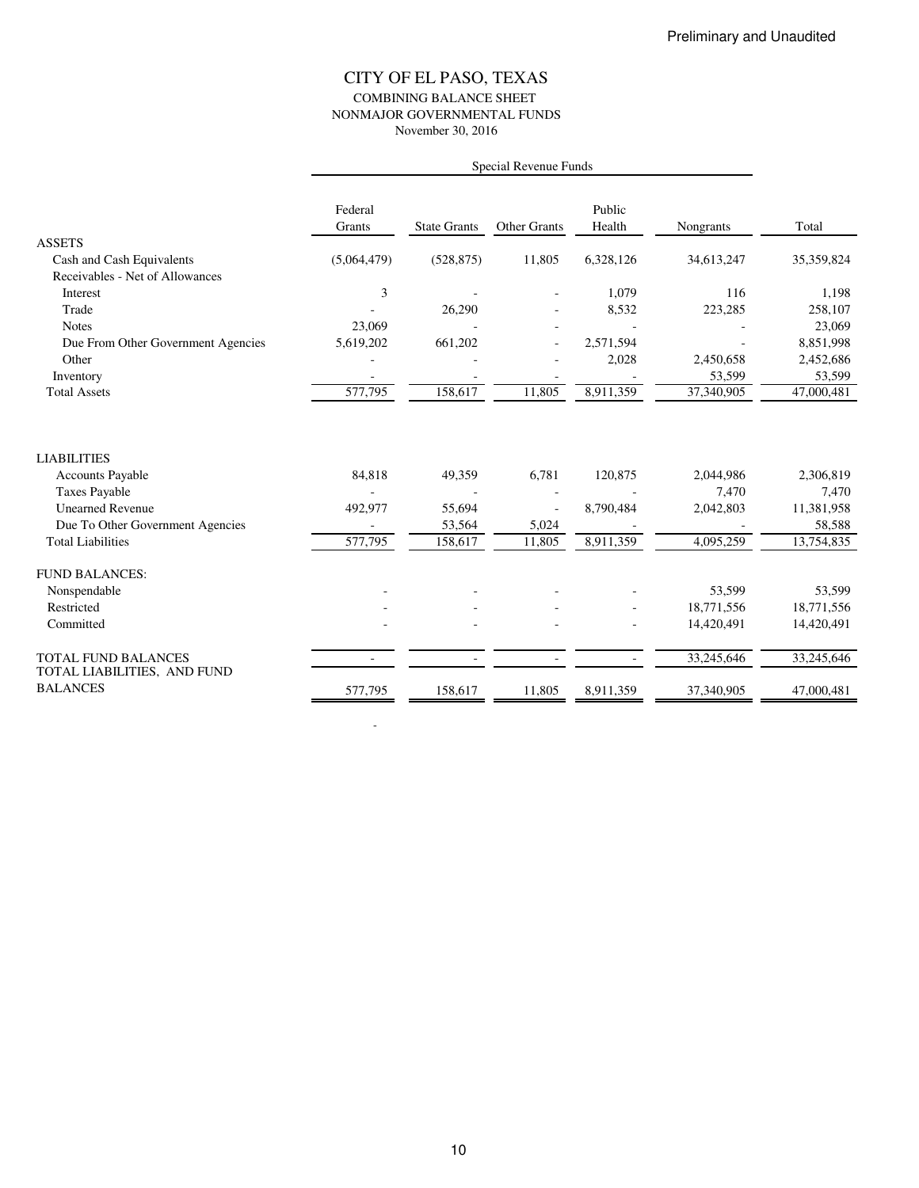### CITY OF EL PASO, TEXAS COMBINING BALANCE SHEET NONMAJOR GOVERNMENTAL FUNDS November 30, 2016

|                                                    | Federal<br>Grants | <b>State Grants</b> | <b>Other Grants</b> | Public<br>Health | Nongrants               | Total                   |
|----------------------------------------------------|-------------------|---------------------|---------------------|------------------|-------------------------|-------------------------|
| <b>ASSETS</b>                                      |                   |                     |                     |                  |                         |                         |
| Cash and Cash Equivalents                          | (5,064,479)       | (528, 875)          | 11,805              | 6,328,126        | 34,613,247              | 35,359,824              |
| Receivables - Net of Allowances                    |                   |                     |                     |                  |                         |                         |
| Interest                                           | 3                 |                     |                     | 1,079            | 116                     | 1,198                   |
| Trade                                              |                   | 26,290              |                     | 8,532            | 223,285                 | 258,107                 |
| <b>Notes</b>                                       | 23,069            |                     |                     |                  |                         | 23,069                  |
| Due From Other Government Agencies                 | 5,619,202         | 661,202             |                     | 2,571,594        |                         | 8,851,998               |
| Other                                              |                   |                     |                     | 2,028            | 2,450,658               | 2,452,686               |
| Inventory                                          |                   |                     |                     |                  | 53,599                  | 53,599                  |
| <b>Total Assets</b>                                | 577,795           | 158,617             | 11,805              | 8,911,359        | $\overline{37,340,905}$ | 47,000,481              |
|                                                    |                   |                     |                     |                  |                         |                         |
| <b>LIABILITIES</b>                                 |                   |                     |                     |                  |                         |                         |
| <b>Accounts Payable</b>                            | 84,818            | 49,359              | 6,781               | 120,875          | 2,044,986               | 2,306,819               |
| <b>Taxes Payable</b>                               |                   |                     |                     |                  | 7,470                   | 7,470                   |
| <b>Unearned Revenue</b>                            | 492,977           | 55,694              |                     | 8,790,484        | 2,042,803               | 11,381,958              |
| Due To Other Government Agencies                   |                   | 53,564              | 5,024               |                  |                         | 58,588                  |
| <b>Total Liabilities</b>                           | 577,795           | 158,617             | 11,805              | 8,911,359        | 4,095,259               | $\overline{13,}754,835$ |
| <b>FUND BALANCES:</b>                              |                   |                     |                     |                  |                         |                         |
| Nonspendable                                       |                   |                     |                     |                  | 53,599                  | 53,599                  |
| Restricted                                         |                   |                     |                     |                  | 18,771,556              | 18,771,556              |
| Committed                                          |                   |                     |                     |                  | 14,420,491              | 14,420,491              |
| TOTAL FUND BALANCES<br>TOTAL LIABILITIES, AND FUND |                   |                     |                     |                  | 33,245,646              | 33,245,646              |
| <b>BALANCES</b>                                    | 577,795           | 158,617             | 11,805              | 8.911.359        | 37,340,905              | 47,000,481              |

-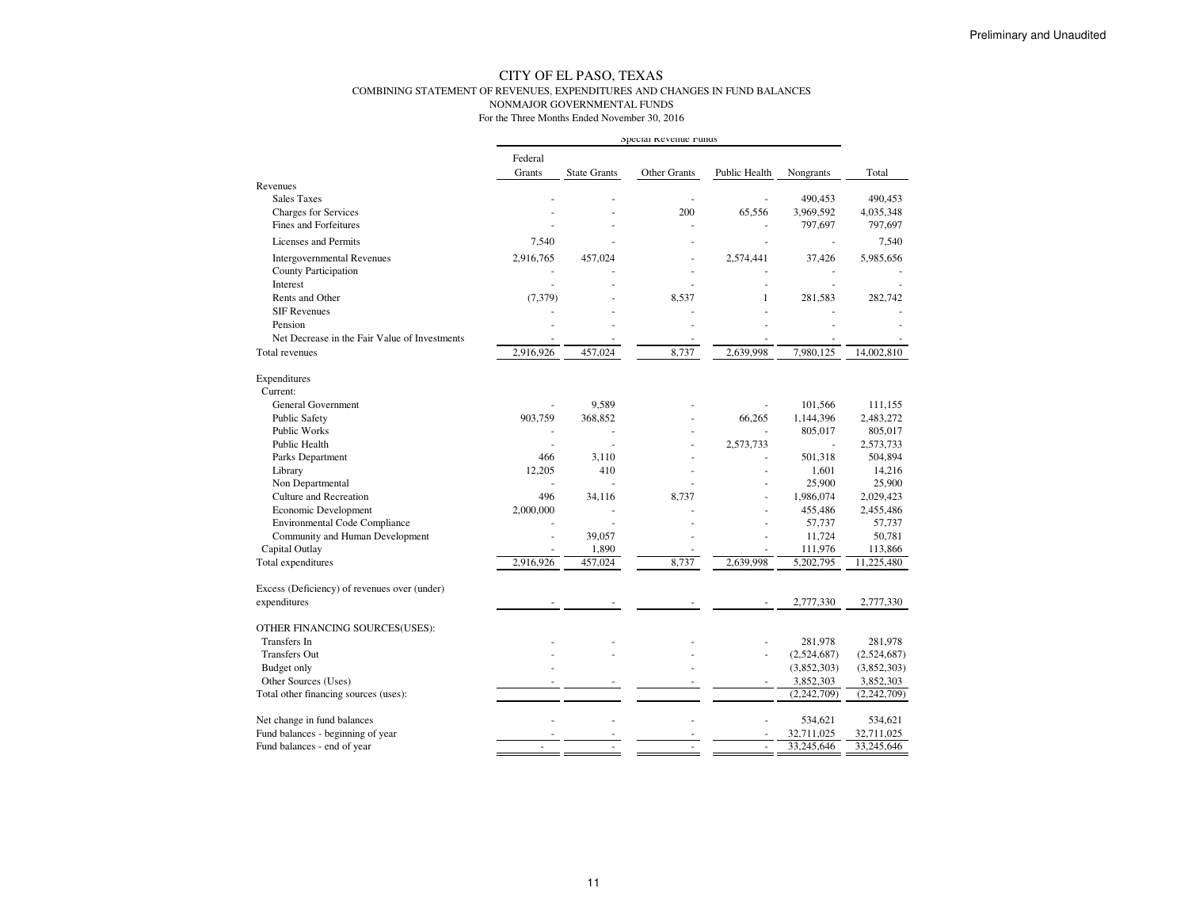#### CITY OF EL PASO, TEXAS COMBINING STATEMENT OF REVENUES, EXPENDITURES AND CHANGES IN FUND BALANCESNONMAJOR GOVERNMENTAL FUNDS

|                                                              | Special Revenue runds |                     |                     |               |                      |                        |
|--------------------------------------------------------------|-----------------------|---------------------|---------------------|---------------|----------------------|------------------------|
|                                                              | Federal               |                     |                     |               |                      |                        |
| Revenues                                                     | Grants                | <b>State Grants</b> | <b>Other Grants</b> | Public Health | Nongrants            | Total                  |
| <b>Sales Taxes</b>                                           |                       |                     |                     |               | 490,453              | 490,453                |
| <b>Charges for Services</b>                                  |                       |                     | 200                 | 65,556        | 3,969,592            | 4,035,348              |
| <b>Fines and Forfeitures</b>                                 |                       |                     | J.                  |               | 797,697              | 797,697                |
| Licenses and Permits                                         | 7,540                 |                     |                     |               |                      | 7,540                  |
| <b>Intergovernmental Revenues</b>                            | 2,916,765             | 457,024             |                     | 2,574,441     | 37,426               | 5,985,656              |
| County Participation                                         |                       |                     |                     |               |                      |                        |
| Interest                                                     |                       |                     |                     |               |                      |                        |
| Rents and Other                                              | (7, 379)              |                     | 8,537               | 1             | 281,583              | 282,742                |
| <b>SIF Revenues</b>                                          |                       |                     |                     |               |                      |                        |
| Pension                                                      |                       |                     |                     |               |                      |                        |
| Net Decrease in the Fair Value of Investments                |                       |                     |                     |               |                      |                        |
| <b>Total revenues</b>                                        | 2,916,926             | 457,024             | 8,737               | 2,639,998     | 7,980,125            | 14,002,810             |
| Expenditures                                                 |                       |                     |                     |               |                      |                        |
| Current:                                                     |                       |                     |                     |               |                      |                        |
| <b>General Government</b>                                    |                       | 9.589               |                     |               | 101.566              | 111.155                |
| Public Safety                                                | 903,759               | 368,852             |                     | 66,265        | 1,144,396            | 2,483,272              |
| Public Works                                                 |                       | ٠                   |                     | ٠             | 805,017              | 805,017                |
| Public Health                                                |                       | ÷,                  |                     | 2,573,733     | ÷,                   | 2,573,733              |
| Parks Department                                             | 466                   | 3,110               |                     |               | 501,318              | 504,894                |
| Library                                                      | 12,205                | 410                 |                     |               | 1,601                | 14,216                 |
| Non Departmental<br><b>Culture and Recreation</b>            | ä,<br>496             | ÷,                  |                     |               | 25,900               | 25,900                 |
|                                                              | 2,000,000             | 34,116<br>÷,        | 8,737               | ٠             | 1,986,074<br>455,486 | 2,029,423<br>2,455,486 |
| Economic Development<br><b>Environmental Code Compliance</b> |                       | ÷,                  |                     |               | 57,737               | 57,737                 |
| Community and Human Development                              |                       | 39,057              |                     |               | 11,724               | 50,781                 |
| Capital Outlay                                               |                       | 1,890               |                     |               | 111,976              | 113,866                |
| Total expenditures                                           | 2,916,926             | 457,024             | 8,737               | 2,639,998     | 5,202,795            | 11,225,480             |
|                                                              |                       |                     |                     |               |                      |                        |
| Excess (Deficiency) of revenues over (under)<br>expenditures |                       |                     |                     |               | 2,777,330            | 2,777,330              |
|                                                              |                       |                     |                     |               |                      |                        |
| OTHER FINANCING SOURCES(USES):                               |                       |                     |                     |               |                      |                        |
| <b>Transfers</b> In                                          |                       |                     |                     |               | 281,978              | 281,978                |
| <b>Transfers Out</b>                                         |                       |                     |                     |               | (2,524,687)          | (2,524,687)            |
| Budget only                                                  |                       |                     |                     |               | (3,852,303)          | (3,852,303)            |
| Other Sources (Uses)                                         |                       |                     | ÷.                  | ä,            | 3,852,303            | 3,852,303              |
| Total other financing sources (uses):                        |                       |                     |                     |               | (2, 242, 709)        | (2,242,709)            |
| Net change in fund balances                                  |                       |                     |                     |               | 534,621              | 534,621                |
| Fund balances - beginning of year                            |                       |                     |                     |               | 32,711,025           | 32,711,025             |
| Fund balances - end of year                                  |                       |                     |                     |               | 33,245,646           | 33,245,646             |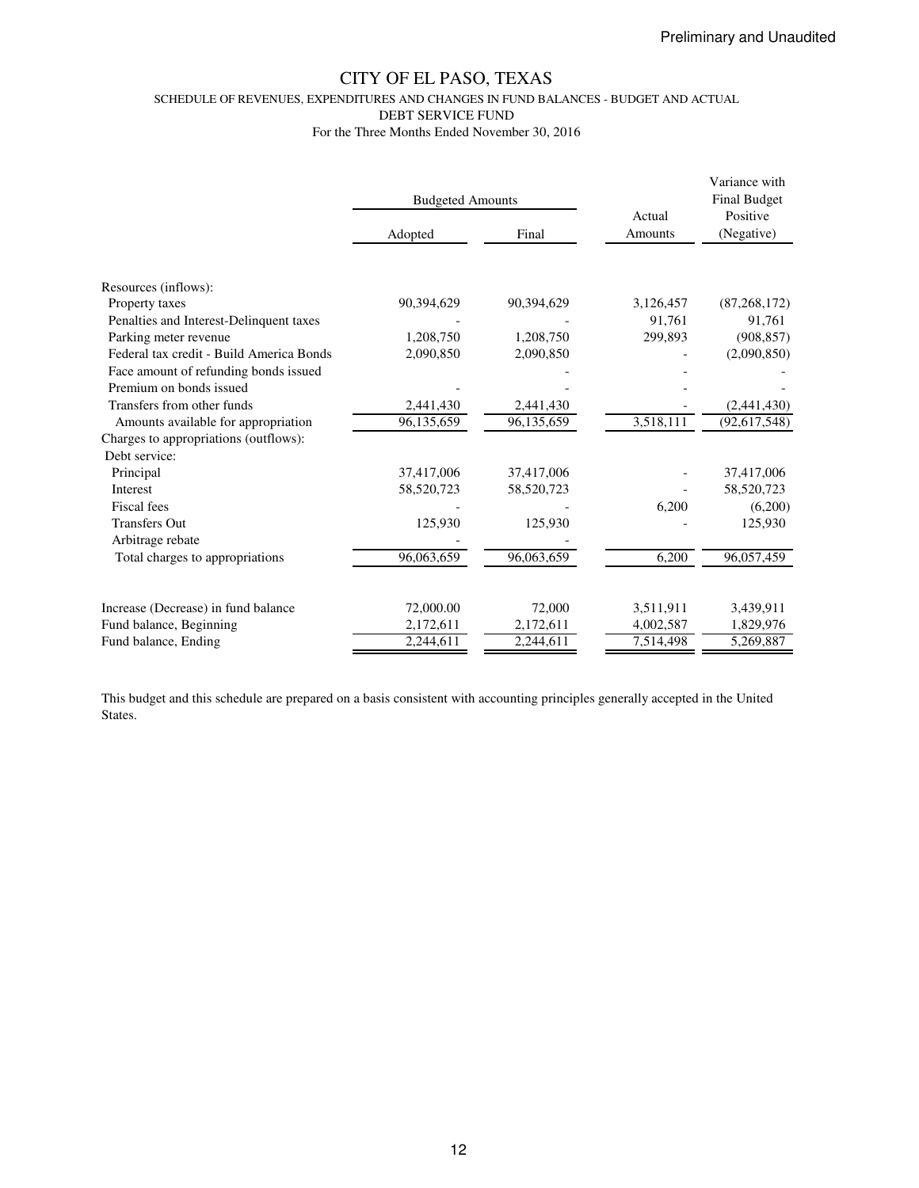SCHEDULE OF REVENUES, EXPENDITURES AND CHANGES IN FUND BALANCES - BUDGET AND ACTUAL

DEBT SERVICE FUND

For the Three Months Ended November 30, 2016

|                                          | <b>Budgeted Amounts</b> |            | Actual    | Variance with<br><b>Final Budget</b><br>Positive |  |
|------------------------------------------|-------------------------|------------|-----------|--------------------------------------------------|--|
|                                          | Adopted                 | Final      | Amounts   | (Negative)                                       |  |
|                                          |                         |            |           |                                                  |  |
| Resources (inflows):                     |                         |            |           |                                                  |  |
| Property taxes                           | 90,394,629              | 90,394,629 | 3,126,457 | (87, 268, 172)                                   |  |
| Penalties and Interest-Delinquent taxes  |                         |            | 91.761    | 91,761                                           |  |
| Parking meter revenue                    | 1,208,750               | 1,208,750  | 299,893   | (908, 857)                                       |  |
| Federal tax credit - Build America Bonds | 2,090,850               | 2,090,850  |           | (2,090,850)                                      |  |
| Face amount of refunding bonds issued    |                         |            |           |                                                  |  |
| Premium on bonds issued                  |                         |            |           |                                                  |  |
| Transfers from other funds               | 2,441,430               | 2,441,430  |           | (2,441,430)                                      |  |
| Amounts available for appropriation      | 96,135,659              | 96,135,659 | 3,518,111 | (92, 617, 548)                                   |  |
| Charges to appropriations (outflows):    |                         |            |           |                                                  |  |
| Debt service:                            |                         |            |           |                                                  |  |
| Principal                                | 37,417,006              | 37,417,006 |           | 37,417,006                                       |  |
| <b>Interest</b>                          | 58,520,723              | 58,520,723 |           | 58,520,723                                       |  |
| Fiscal fees                              |                         |            | 6,200     | (6,200)                                          |  |
| <b>Transfers Out</b>                     | 125,930                 | 125,930    |           | 125,930                                          |  |
| Arbitrage rebate                         |                         |            |           |                                                  |  |
| Total charges to appropriations          | 96,063,659              | 96,063,659 | 6,200     | 96,057,459                                       |  |
|                                          |                         |            |           |                                                  |  |
| Increase (Decrease) in fund balance      | 72,000.00               | 72,000     | 3,511,911 | 3,439,911                                        |  |
| Fund balance, Beginning                  | 2,172,611               | 2,172,611  | 4,002,587 | 1,829,976                                        |  |
| Fund balance, Ending                     | 2,244,611               | 2,244,611  | 7,514,498 | 5,269,887                                        |  |

This budget and this schedule are prepared on a basis consistent with accounting principles generally accepted in the United States.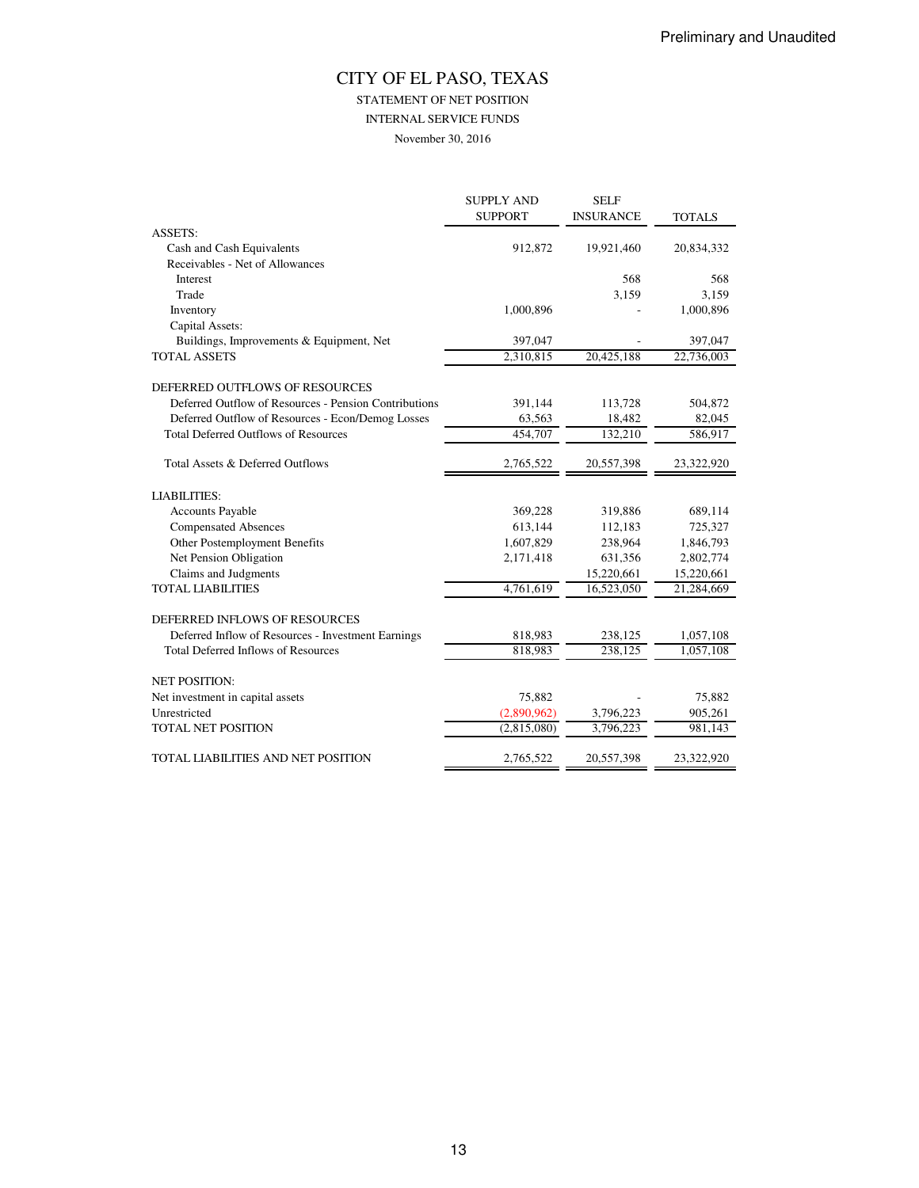STATEMENT OF NET POSITION

INTERNAL SERVICE FUNDS

November 30, 2016

|                                                       | <b>SUPPLY AND</b> | <b>SELF</b>      |               |
|-------------------------------------------------------|-------------------|------------------|---------------|
|                                                       | <b>SUPPORT</b>    | <b>INSURANCE</b> | <b>TOTALS</b> |
| <b>ASSETS:</b>                                        |                   |                  |               |
| Cash and Cash Equivalents                             | 912,872           | 19,921,460       | 20,834,332    |
| Receivables - Net of Allowances                       |                   |                  |               |
| Interest                                              |                   | 568              | 568           |
| Trade                                                 |                   | 3,159            | 3,159         |
| Inventory                                             | 1,000,896         |                  | 1,000,896     |
| Capital Assets:                                       |                   |                  |               |
| Buildings, Improvements & Equipment, Net              | 397,047           |                  | 397,047       |
| <b>TOTAL ASSETS</b>                                   | 2,310,815         | 20,425,188       | 22,736,003    |
| DEFERRED OUTFLOWS OF RESOURCES                        |                   |                  |               |
| Deferred Outflow of Resources - Pension Contributions | 391,144           | 113,728          | 504,872       |
| Deferred Outflow of Resources - Econ/Demog Losses     | 63,563            | 18,482           | 82,045        |
| <b>Total Deferred Outflows of Resources</b>           | 454,707           | 132,210          | 586,917       |
| Total Assets & Deferred Outflows                      | 2,765,522         | 20,557,398       | 23,322,920    |
| <b>LIABILITIES:</b>                                   |                   |                  |               |
| <b>Accounts Payable</b>                               | 369,228           | 319,886          | 689,114       |
| <b>Compensated Absences</b>                           | 613,144           | 112,183          | 725,327       |
| Other Postemployment Benefits                         | 1,607,829         | 238,964          | 1,846,793     |
| Net Pension Obligation                                | 2,171,418         | 631,356          | 2,802,774     |
| Claims and Judgments                                  |                   | 15,220,661       | 15,220,661    |
| <b>TOTAL LIABILITIES</b>                              | 4,761,619         | 16,523,050       | 21,284,669    |
| DEFERRED INFLOWS OF RESOURCES                         |                   |                  |               |
| Deferred Inflow of Resources - Investment Earnings    | 818,983           | 238,125          | 1,057,108     |
| <b>Total Deferred Inflows of Resources</b>            | 818,983           | 238,125          | 1,057,108     |
| <b>NET POSITION:</b>                                  |                   |                  |               |
| Net investment in capital assets                      | 75,882            |                  | 75,882        |
| Unrestricted                                          | (2,890,962)       | 3,796,223        | 905,261       |
| <b>TOTAL NET POSITION</b>                             | (2,815,080)       | 3,796,223        | 981,143       |
| TOTAL LIABILITIES AND NET POSITION                    | 2,765,522         | 20,557,398       | 23,322,920    |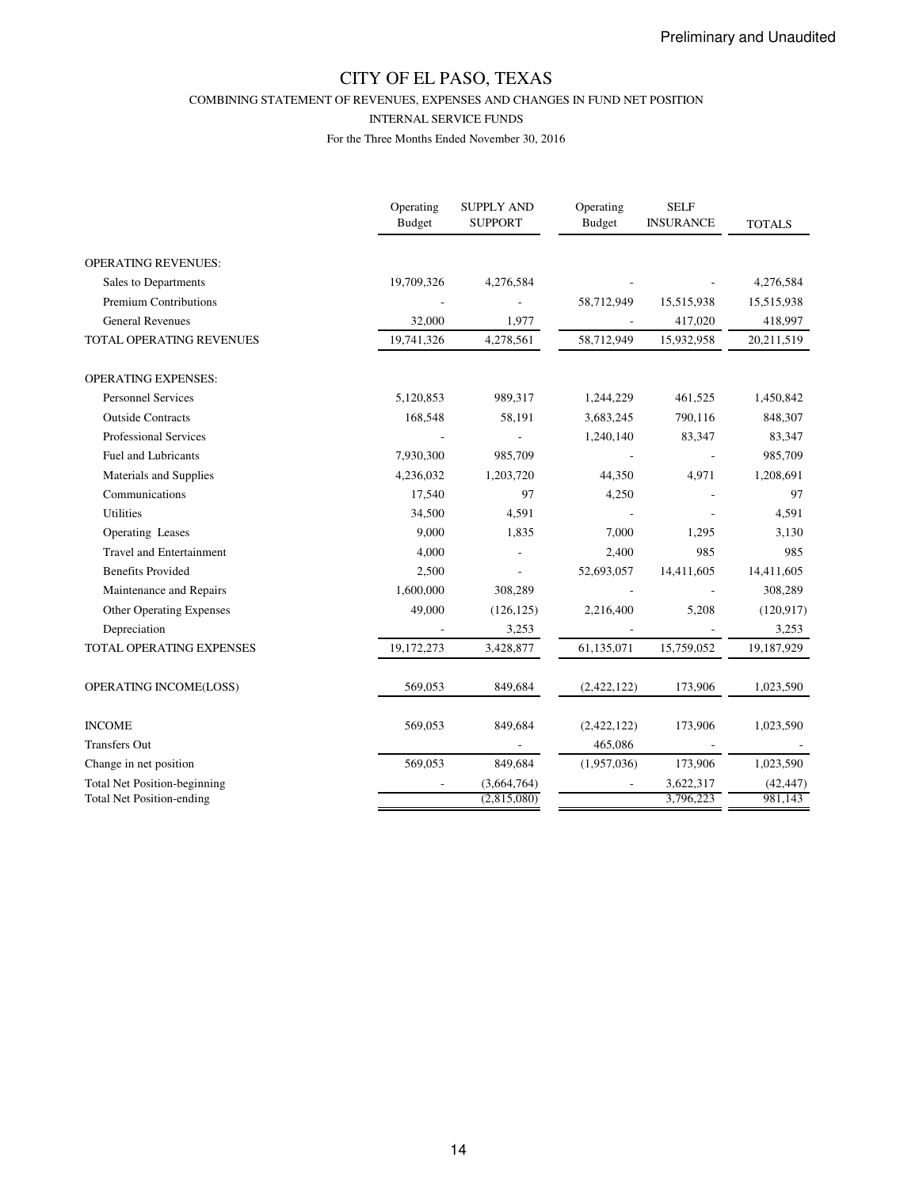COMBINING STATEMENT OF REVENUES, EXPENSES AND CHANGES IN FUND NET POSITION

#### INTERNAL SERVICE FUNDS

|                                                                         | Operating<br>Budget | <b>SUPPLY AND</b><br><b>SUPPORT</b> | Operating<br><b>Budget</b> | <b>SELF</b><br><b>INSURANCE</b> | <b>TOTALS</b>        |
|-------------------------------------------------------------------------|---------------------|-------------------------------------|----------------------------|---------------------------------|----------------------|
| <b>OPERATING REVENUES:</b>                                              |                     |                                     |                            |                                 |                      |
| Sales to Departments                                                    | 19,709,326          | 4,276,584                           |                            |                                 | 4,276,584            |
| <b>Premium Contributions</b>                                            |                     |                                     | 58,712,949                 | 15,515,938                      | 15,515,938           |
| <b>General Revenues</b>                                                 | 32,000              | 1,977                               |                            | 417,020                         | 418,997              |
| <b>TOTAL OPERATING REVENUES</b>                                         | 19,741,326          | 4,278,561                           | 58,712,949                 | 15,932,958                      | 20,211,519           |
| <b>OPERATING EXPENSES:</b>                                              |                     |                                     |                            |                                 |                      |
| <b>Personnel Services</b>                                               | 5,120,853           | 989,317                             | 1,244,229                  | 461,525                         | 1,450,842            |
| <b>Outside Contracts</b>                                                | 168,548             | 58,191                              | 3,683,245                  | 790,116                         | 848,307              |
| <b>Professional Services</b>                                            |                     |                                     | 1,240,140                  | 83,347                          | 83,347               |
| <b>Fuel and Lubricants</b>                                              | 7,930,300           | 985,709                             |                            |                                 | 985,709              |
| Materials and Supplies                                                  | 4,236,032           | 1,203,720                           | 44,350                     | 4,971                           | 1,208,691            |
| Communications                                                          | 17,540              | 97                                  | 4,250                      |                                 | 97                   |
| <b>Utilities</b>                                                        | 34,500              | 4,591                               |                            |                                 | 4,591                |
| Operating Leases                                                        | 9,000               | 1,835                               | 7,000                      | 1,295                           | 3,130                |
| <b>Travel and Entertainment</b>                                         | 4,000               |                                     | 2,400                      | 985                             | 985                  |
| <b>Benefits Provided</b>                                                | 2,500               |                                     | 52,693,057                 | 14,411,605                      | 14,411,605           |
| Maintenance and Repairs                                                 | 1,600,000           | 308,289                             |                            |                                 | 308,289              |
| <b>Other Operating Expenses</b>                                         | 49,000              | (126, 125)                          | 2,216,400                  | 5,208                           | (120, 917)           |
| Depreciation                                                            |                     | 3,253                               |                            |                                 | 3,253                |
| TOTAL OPERATING EXPENSES                                                | 19,172,273          | 3,428,877                           | 61,135,071                 | 15,759,052                      | 19,187,929           |
| OPERATING INCOME(LOSS)                                                  | 569,053             | 849,684                             | (2,422,122)                | 173,906                         | 1,023,590            |
| <b>INCOME</b>                                                           | 569,053             | 849,684                             | (2,422,122)                | 173,906                         | 1,023,590            |
| <b>Transfers Out</b>                                                    |                     |                                     | 465,086                    |                                 |                      |
| Change in net position                                                  | 569,053             | 849,684                             | (1,957,036)                | 173,906                         | 1,023,590            |
| <b>Total Net Position-beginning</b><br><b>Total Net Position-ending</b> |                     | (3,664,764)<br>(2,815,080)          |                            | 3,622,317<br>3,796,223          | (42, 447)<br>981.143 |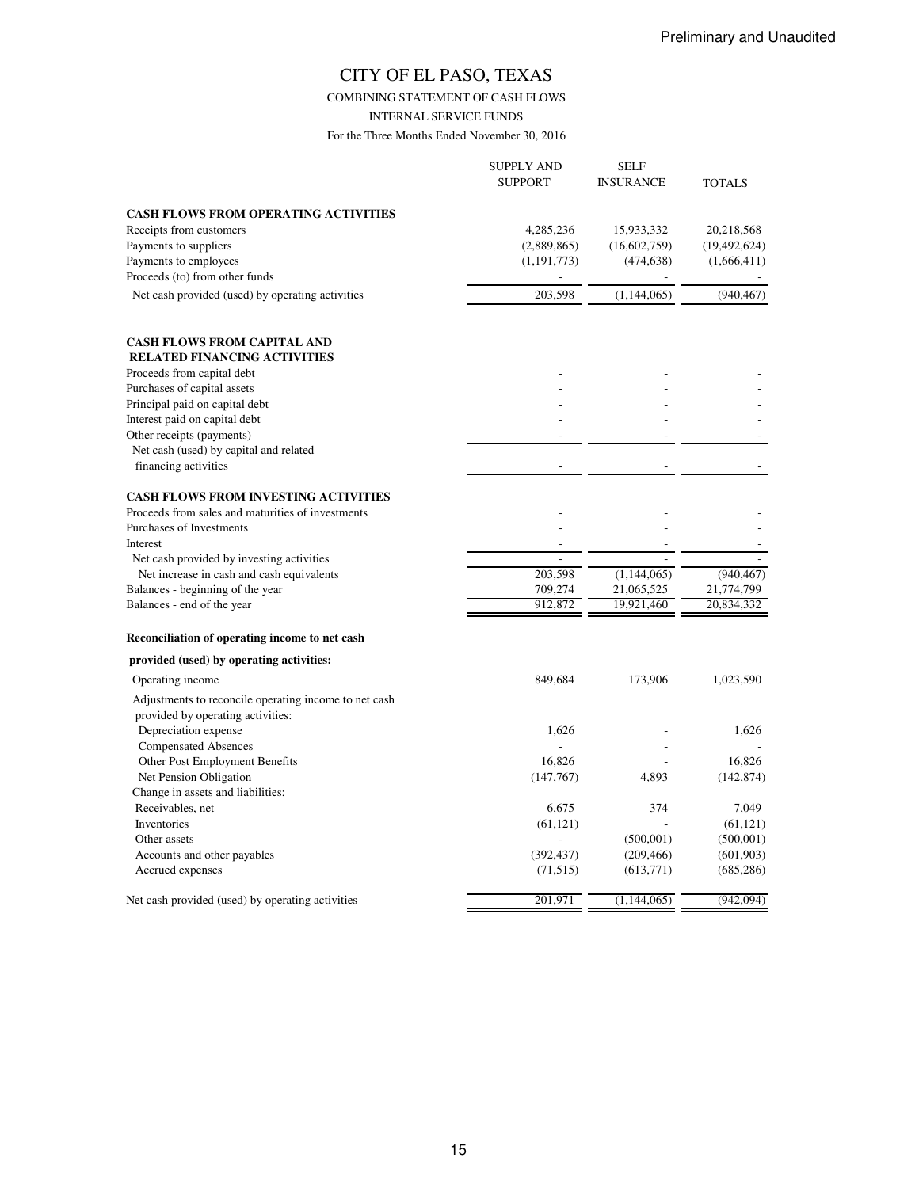### COMBINING STATEMENT OF CASH FLOWS

INTERNAL SERVICE FUNDS

|                                                                        | <b>SUPPLY AND</b><br><b>SUPPORT</b> | <b>SELF</b><br><b>INSURANCE</b> | <b>TOTALS</b>  |
|------------------------------------------------------------------------|-------------------------------------|---------------------------------|----------------|
|                                                                        |                                     |                                 |                |
| <b>CASH FLOWS FROM OPERATING ACTIVITIES</b><br>Receipts from customers | 4,285,236                           | 15,933,332                      | 20,218,568     |
| Payments to suppliers                                                  | (2,889,865)                         | (16,602,759)                    | (19, 492, 624) |
| Payments to employees                                                  | (1,191,773)                         | (474, 638)                      | (1,666,411)    |
| Proceeds (to) from other funds                                         |                                     |                                 |                |
| Net cash provided (used) by operating activities                       | 203,598                             | (1,144,065)                     | (940, 467)     |
| <b>CASH FLOWS FROM CAPITAL AND</b>                                     |                                     |                                 |                |
| <b>RELATED FINANCING ACTIVITIES</b>                                    |                                     |                                 |                |
| Proceeds from capital debt                                             |                                     |                                 |                |
| Purchases of capital assets                                            |                                     |                                 |                |
| Principal paid on capital debt                                         |                                     |                                 |                |
| Interest paid on capital debt                                          |                                     |                                 |                |
| Other receipts (payments)                                              |                                     |                                 |                |
| Net cash (used) by capital and related                                 |                                     |                                 |                |
| financing activities                                                   |                                     |                                 |                |
| <b>CASH FLOWS FROM INVESTING ACTIVITIES</b>                            |                                     |                                 |                |
| Proceeds from sales and maturities of investments                      |                                     |                                 |                |
| Purchases of Investments                                               |                                     |                                 |                |
| Interest                                                               |                                     |                                 |                |
| Net cash provided by investing activities                              |                                     |                                 |                |
| Net increase in cash and cash equivalents                              | 203,598                             | (1,144,065)                     | (940, 467)     |
| Balances - beginning of the year                                       | 709,274                             | 21,065,525                      | 21,774,799     |
| Balances - end of the year                                             | 912,872                             | 19,921,460                      | 20,834,332     |
| Reconciliation of operating income to net cash                         |                                     |                                 |                |
| provided (used) by operating activities:                               |                                     |                                 |                |
| Operating income                                                       | 849,684                             | 173,906                         | 1,023,590      |
| Adjustments to reconcile operating income to net cash                  |                                     |                                 |                |
| provided by operating activities:                                      |                                     |                                 |                |
| Depreciation expense                                                   | 1,626                               |                                 | 1,626          |
| <b>Compensated Absences</b>                                            |                                     |                                 |                |
| Other Post Employment Benefits                                         | 16,826                              |                                 | 16.826         |
| Net Pension Obligation<br>Change in assets and liabilities:            | (147,767)                           | 4,893                           | (142, 874)     |
| Receivables, net                                                       | 6,675                               | 374                             | 7,049          |
| Inventories                                                            | (61, 121)                           |                                 | (61, 121)      |
| Other assets                                                           |                                     | (500, 001)                      | (500,001)      |
| Accounts and other payables                                            | (392, 437)                          | (209, 466)                      | (601, 903)     |
| Accrued expenses                                                       | (71, 515)                           | (613, 771)                      | (685, 286)     |
| Net cash provided (used) by operating activities                       | 201,971                             | (1, 144, 065)                   | (942,094)      |
|                                                                        |                                     |                                 |                |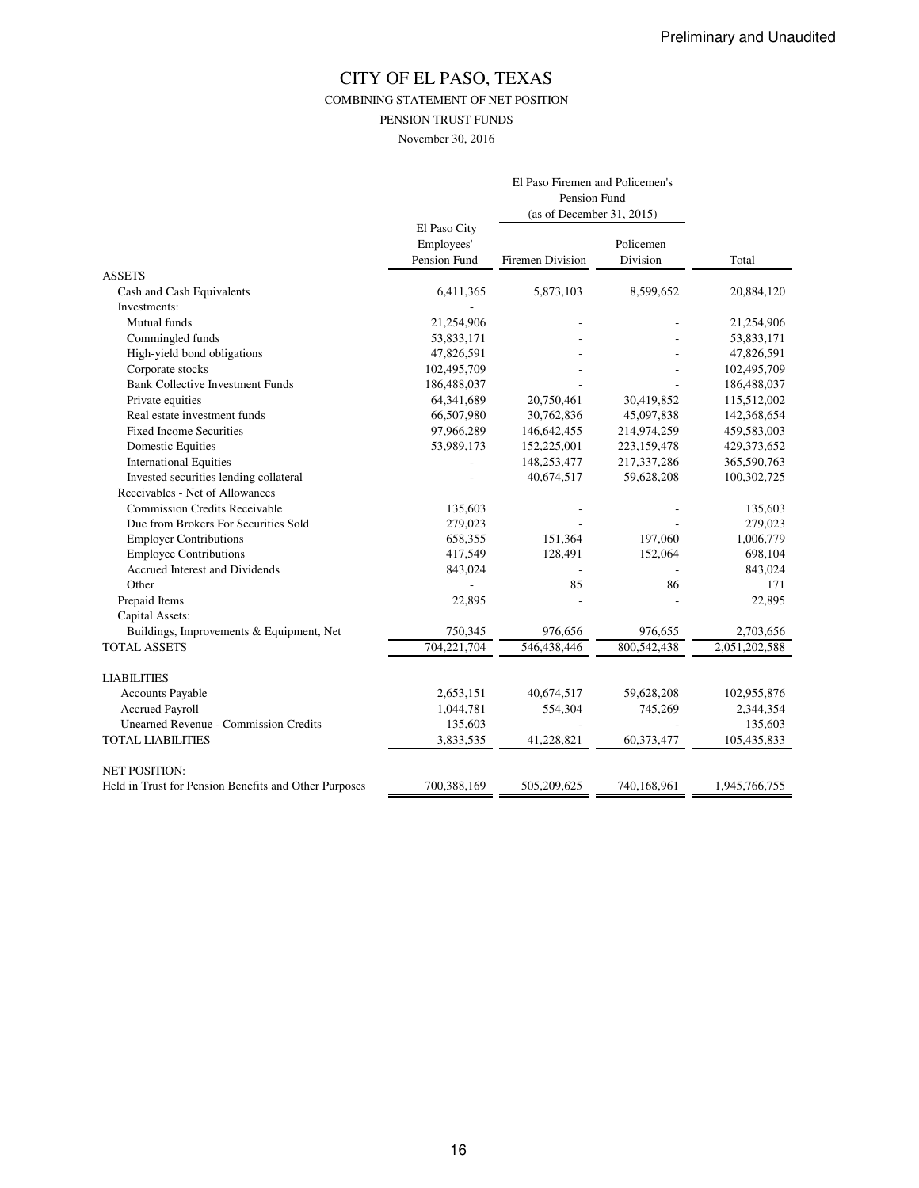COMBINING STATEMENT OF NET POSITION

PENSION TRUST FUNDS

November 30, 2016

|                                                       |                                            | El Paso Firemen and Policemen's<br>Pension Fund<br>(as of December 31, 2015) |                       |               |
|-------------------------------------------------------|--------------------------------------------|------------------------------------------------------------------------------|-----------------------|---------------|
|                                                       | El Paso City<br>Employees'<br>Pension Fund | <b>Firemen Division</b>                                                      | Policemen<br>Division | Total         |
| <b>ASSETS</b>                                         |                                            |                                                                              |                       |               |
| Cash and Cash Equivalents                             | 6,411,365                                  | 5,873,103                                                                    | 8,599,652             | 20,884,120    |
| Investments:                                          |                                            |                                                                              |                       |               |
| Mutual funds                                          | 21,254,906                                 |                                                                              |                       | 21,254,906    |
| Commingled funds                                      | 53,833,171                                 |                                                                              |                       | 53,833,171    |
| High-yield bond obligations                           | 47,826,591                                 |                                                                              |                       | 47,826,591    |
| Corporate stocks                                      | 102,495,709                                |                                                                              |                       | 102,495,709   |
| <b>Bank Collective Investment Funds</b>               | 186,488,037                                |                                                                              |                       | 186,488,037   |
| Private equities                                      | 64,341,689                                 | 20,750,461                                                                   | 30,419,852            | 115,512,002   |
| Real estate investment funds                          | 66,507,980                                 | 30,762,836                                                                   | 45,097,838            | 142,368,654   |
| <b>Fixed Income Securities</b>                        | 97,966,289                                 | 146,642,455                                                                  | 214,974,259           | 459,583,003   |
| <b>Domestic Equities</b>                              | 53,989,173                                 | 152,225,001                                                                  | 223,159,478           | 429,373,652   |
| <b>International Equities</b>                         |                                            | 148,253,477                                                                  | 217,337,286           | 365,590,763   |
| Invested securities lending collateral                |                                            | 40,674,517                                                                   | 59,628,208            | 100,302,725   |
| Receivables - Net of Allowances                       |                                            |                                                                              |                       |               |
| <b>Commission Credits Receivable</b>                  | 135,603                                    |                                                                              |                       | 135,603       |
| Due from Brokers For Securities Sold                  | 279,023                                    |                                                                              |                       | 279,023       |
| <b>Employer Contributions</b>                         | 658,355                                    | 151,364                                                                      | 197,060               | 1,006,779     |
| <b>Employee Contributions</b>                         | 417,549                                    | 128,491                                                                      | 152,064               | 698,104       |
| Accrued Interest and Dividends                        | 843,024                                    |                                                                              |                       | 843,024       |
| Other                                                 |                                            | 85                                                                           | 86                    | 171           |
| Prepaid Items                                         | 22,895                                     |                                                                              |                       | 22,895        |
| Capital Assets:                                       |                                            |                                                                              |                       |               |
| Buildings, Improvements & Equipment, Net              | 750,345                                    | 976,656                                                                      | 976,655               | 2,703,656     |
| <b>TOTAL ASSETS</b>                                   | 704,221,704                                | 546,438,446                                                                  | 800, 542, 438         | 2,051,202,588 |
| <b>LIABILITIES</b>                                    |                                            |                                                                              |                       |               |
| Accounts Payable                                      | 2,653,151                                  | 40,674,517                                                                   | 59,628,208            | 102,955,876   |
| <b>Accrued Payroll</b>                                | 1,044,781                                  | 554,304                                                                      | 745,269               | 2,344,354     |
| <b>Unearned Revenue - Commission Credits</b>          | 135,603                                    |                                                                              |                       | 135,603       |
| <b>TOTAL LIABILITIES</b>                              | 3,833,535                                  | 41,228,821                                                                   | 60,373,477            | 105,435,833   |
| <b>NET POSITION:</b>                                  |                                            |                                                                              |                       |               |
| Held in Trust for Pension Benefits and Other Purposes | 700,388,169                                | 505,209,625                                                                  | 740,168,961           | 1,945,766,755 |